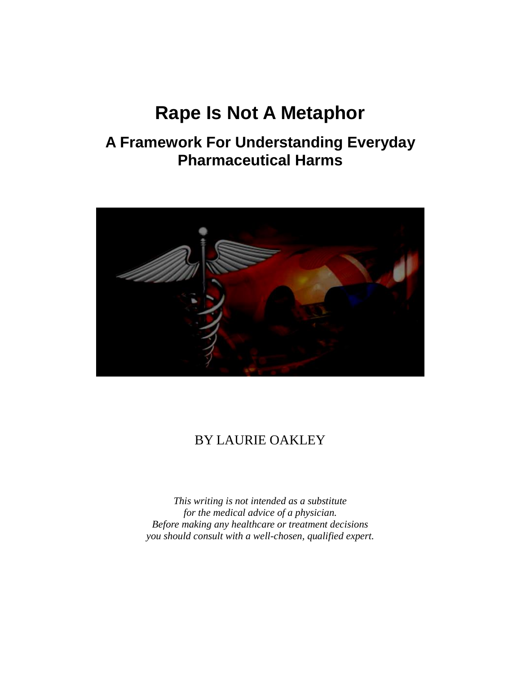# **Rape Is Not A Metaphor**

# **A Framework For Understanding Everyday Pharmaceutical Harms**



# BY LAURIE OAKLEY

*This writing is not intended as a substitute for the medical advice of a physician. Before making any healthcare or treatment decisions you should consult with a well-chosen, qualified expert.*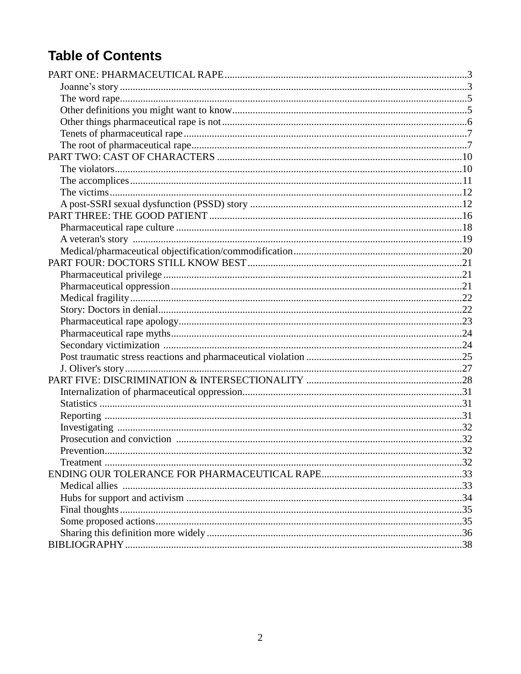# **Table of Contents**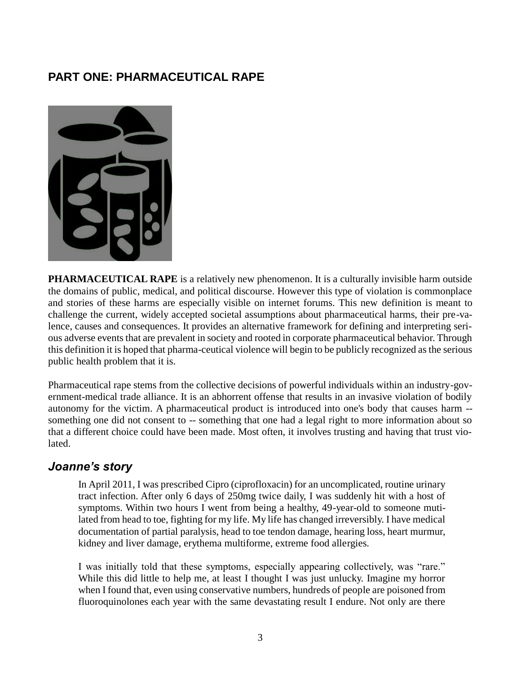#### **PART ONE: PHARMACEUTICAL RAPE**



**PHARMACEUTICAL RAPE** is a relatively new phenomenon. It is a culturally invisible harm outside the domains of public, medical, and political discourse. However this type of violation is commonplace and stories of these harms are especially visible on internet forums. This new definition is meant to challenge the current, widely accepted societal assumptions about pharmaceutical harms, their pre-valence, causes and consequences. It provides an alternative framework for defining and interpreting serious adverse events that are prevalent in society and rooted in corporate pharmaceutical behavior. Through this definition it is hoped that pharma-ceutical violence will begin to be publicly recognized as the serious public health problem that it is.

Pharmaceutical rape stems from the collective decisions of powerful individuals within an industry-government-medical trade alliance. It is an abhorrent offense that results in an invasive violation of bodily autonomy for the victim. A pharmaceutical product is introduced into one's body that causes harm - something one did not consent to -- something that one had a legal right to more information about so that a different choice could have been made. Most often, it involves trusting and having that trust violated.

#### *Joanne's story*

In April 2011, I was prescribed Cipro (ciprofloxacin) for an uncomplicated, routine urinary tract infection. After only 6 days of 250mg twice daily, I was suddenly hit with a host of symptoms. Within two hours I went from being a healthy, 49-year-old to someone mutilated from head to toe, fighting for my life. My life has changed irreversibly. I have medical documentation of partial paralysis, head to toe tendon damage, hearing loss, heart murmur, kidney and liver damage, erythema multiforme, extreme food allergies.

I was initially told that these symptoms, especially appearing collectively, was "rare." While this did little to help me, at least I thought I was just unlucky. Imagine my horror when I found that, even using conservative numbers, hundreds of people are poisoned from fluoroquinolones each year with the same devastating result I endure. Not only are there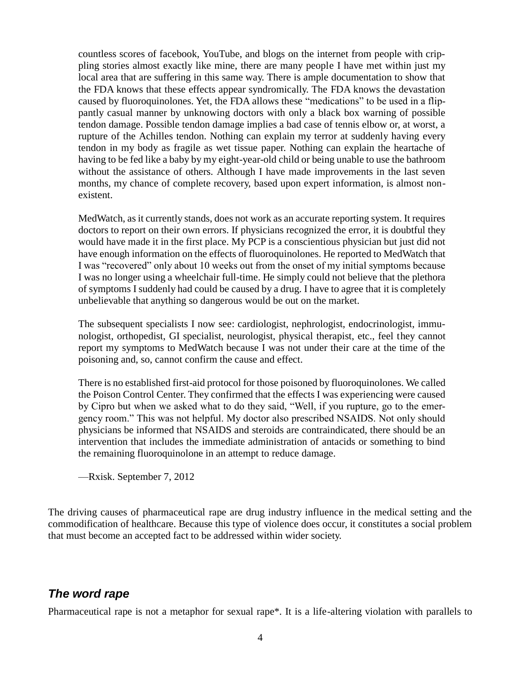countless scores of facebook, YouTube, and blogs on the internet from people with crippling stories almost exactly like mine, there are many people I have met within just my local area that are suffering in this same way. There is ample documentation to show that the FDA knows that these effects appear syndromically. The FDA knows the devastation caused by fluoroquinolones. Yet, the FDA allows these "medications" to be used in a flippantly casual manner by unknowing doctors with only a black box warning of possible tendon damage. Possible tendon damage implies a bad case of tennis elbow or, at worst, a rupture of the Achilles tendon. Nothing can explain my terror at suddenly having every tendon in my body as fragile as wet tissue paper. Nothing can explain the heartache of having to be fed like a baby by my eight-year-old child or being unable to use the bathroom without the assistance of others. Although I have made improvements in the last seven months, my chance of complete recovery, based upon expert information, is almost nonexistent.

MedWatch, as it currently stands, does not work as an accurate reporting system. It requires doctors to report on their own errors. If physicians recognized the error, it is doubtful they would have made it in the first place. My PCP is a conscientious physician but just did not have enough information on the effects of fluoroquinolones. He reported to MedWatch that I was "recovered" only about 10 weeks out from the onset of my initial symptoms because I was no longer using a wheelchair full-time. He simply could not believe that the plethora of symptoms I suddenly had could be caused by a drug. I have to agree that it is completely unbelievable that anything so dangerous would be out on the market.

The subsequent specialists I now see: cardiologist, nephrologist, endocrinologist, immunologist, orthopedist, GI specialist, neurologist, physical therapist, etc., feel they cannot report my symptoms to MedWatch because I was not under their care at the time of the poisoning and, so, cannot confirm the cause and effect.

There is no established first-aid protocol for those poisoned by fluoroquinolones. We called the Poison Control Center. They confirmed that the effects I was experiencing were caused by Cipro but when we asked what to do they said, "Well, if you rupture, go to the emergency room." This was not helpful. My doctor also prescribed NSAIDS. Not only should physicians be informed that NSAIDS and steroids are contraindicated, there should be an intervention that includes the immediate administration of antacids or something to bind the remaining fluoroquinolone in an attempt to reduce damage.

—Rxisk. September 7, 2012

The driving causes of pharmaceutical rape are drug industry influence in the medical setting and the commodification of healthcare. Because this type of violence does occur, it constitutes a social problem that must become an accepted fact to be addressed within wider society.

#### *The word rape*

Pharmaceutical rape is not a metaphor for sexual rape\*. It is a life-altering violation with parallels to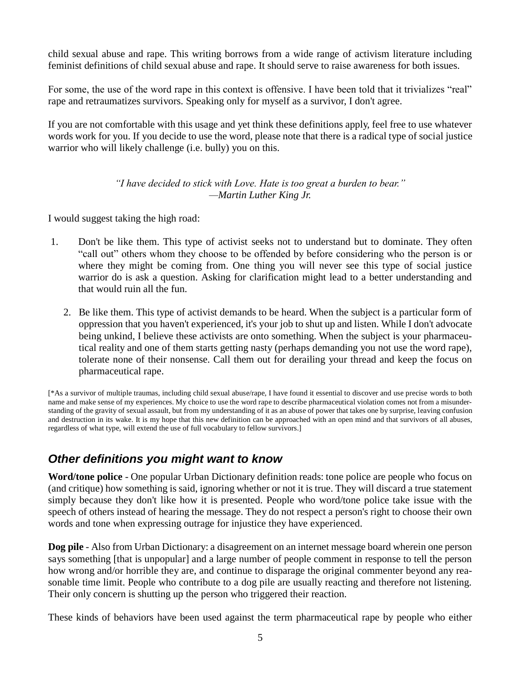child sexual abuse and rape. This writing borrows from a wide range of activism literature including feminist definitions of child sexual abuse and rape. It should serve to raise awareness for both issues.

For some, the use of the word rape in this context is offensive. I have been told that it trivializes "real" rape and retraumatizes survivors. Speaking only for myself as a survivor, I don't agree.

If you are not comfortable with this usage and yet think these definitions apply, feel free to use whatever words work for you. If you decide to use the word, please note that there is a radical type of social justice warrior who will likely challenge (i.e. bully) you on this.

> *"I have decided to stick with Love. Hate is too great a burden to bear." —Martin Luther King Jr.*

I would suggest taking the high road:

- 1. Don't be like them. This type of activist seeks not to understand but to dominate. They often "call out" others whom they choose to be offended by before considering who the person is or where they might be coming from. One thing you will never see this type of social justice warrior do is ask a question. Asking for clarification might lead to a better understanding and that would ruin all the fun.
	- 2. Be like them. This type of activist demands to be heard. When the subject is a particular form of oppression that you haven't experienced, it's your job to shut up and listen. While I don't advocate being unkind, I believe these activists are onto something. When the subject is your pharmaceutical reality and one of them starts getting nasty (perhaps demanding you not use the word rape), tolerate none of their nonsense. Call them out for derailing your thread and keep the focus on pharmaceutical rape.

[\*As a survivor of multiple traumas, including child sexual abuse/rape, I have found it essential to discover and use precise words to both name and make sense of my experiences. My choice to use the word rape to describe pharmaceutical violation comes not from a misunderstanding of the gravity of sexual assault, but from my understanding of it as an abuse of power that takes one by surprise, leaving confusion and destruction in its wake. It is my hope that this new definition can be approached with an open mind and that survivors of all abuses, regardless of what type, will extend the use of full vocabulary to fellow survivors.]

#### *Other definitions you might want to know*

**Word/tone police** - One popular Urban Dictionary definition reads: tone police are people who focus on (and critique) how something is said, ignoring whether or not it is true. They will discard a true statement simply because they don't like how it is presented. People who word/tone police take issue with the speech of others instead of hearing the message. They do not respect a person's right to choose their own words and tone when expressing outrage for injustice they have experienced.

**Dog pile** - Also from Urban Dictionary: a disagreement on an internet message board wherein one person says something [that is unpopular] and a large number of people comment in response to tell the person how wrong and/or horrible they are, and continue to disparage the original commenter beyond any reasonable time limit. People who contribute to a dog pile are usually reacting and therefore not listening. Their only concern is shutting up the person who triggered their reaction.

These kinds of behaviors have been used against the term pharmaceutical rape by people who either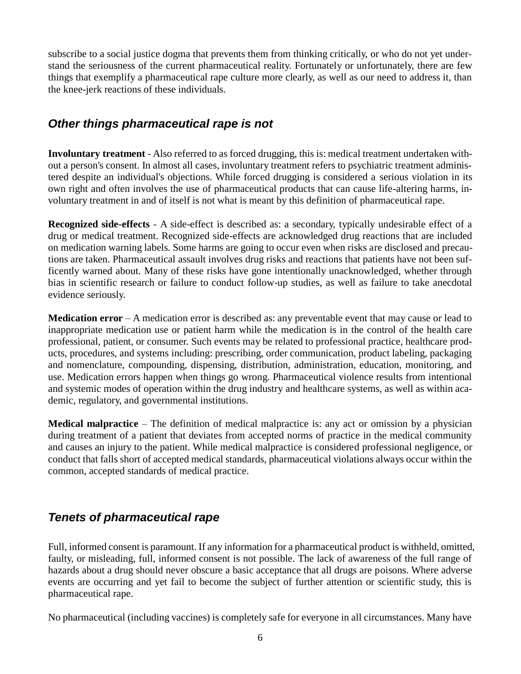subscribe to a social justice dogma that prevents them from thinking critically, or who do not yet understand the seriousness of the current pharmaceutical reality. Fortunately or unfortunately, there are few things that exemplify a pharmaceutical rape culture more clearly, as well as our need to address it, than the knee-jerk reactions of these individuals.

#### *Other things pharmaceutical rape is not*

**Involuntary treatment** - Also referred to as forced drugging, this is: medical treatment undertaken without a person's consent. In almost all cases, involuntary treatment refers to psychiatric treatment administered despite an individual's objections. While forced drugging is considered a serious violation in its own right and often involves the use of pharmaceutical products that can cause life-altering harms, involuntary treatment in and of itself is not what is meant by this definition of pharmaceutical rape.

**Recognized side-effects** - A side-effect is described as: a secondary, typically undesirable effect of a drug or medical treatment. Recognized side-effects are acknowledged drug reactions that are included on medication warning labels. Some harms are going to occur even when risks are disclosed and precautions are taken. Pharmaceutical assault involves drug risks and reactions that patients have not been sufficently warned about. Many of these risks have gone intentionally unacknowledged, whether through bias in scientific research or failure to conduct follow-up studies, as well as failure to take anecdotal evidence seriously.

**Medication error** – A medication error is described as: any preventable event that may cause or lead to inappropriate medication use or patient harm while the medication is in the control of the health care professional, patient, or consumer. Such events may be related to professional practice, healthcare products, procedures, and systems including: prescribing, order communication, product labeling, packaging and nomenclature, compounding, dispensing, distribution, administration, education, monitoring, and use. Medication errors happen when things go wrong. Pharmaceutical violence results from intentional and systemic modes of operation within the drug industry and healthcare systems, as well as within academic, regulatory, and governmental institutions.

**Medical malpractice** – The definition of medical malpractice is: any act or omission by a physician during treatment of a patient that deviates from accepted norms of practice in the medical community and causes an injury to the patient. While medical malpractice is considered professional negligence, or conduct that falls short of accepted medical standards, pharmaceutical violations always occur within the common, accepted standards of medical practice.

## *Tenets of pharmaceutical rape*

Full, informed consent is paramount. If any information for a pharmaceutical product is withheld, omitted, faulty, or misleading, full, informed consent is not possible. The lack of awareness of the full range of hazards about a drug should never obscure a basic acceptance that all drugs are poisons. Where adverse events are occurring and yet fail to become the subject of further attention or scientific study, this is pharmaceutical rape.

No pharmaceutical (including vaccines) is completely safe for everyone in all circumstances. Many have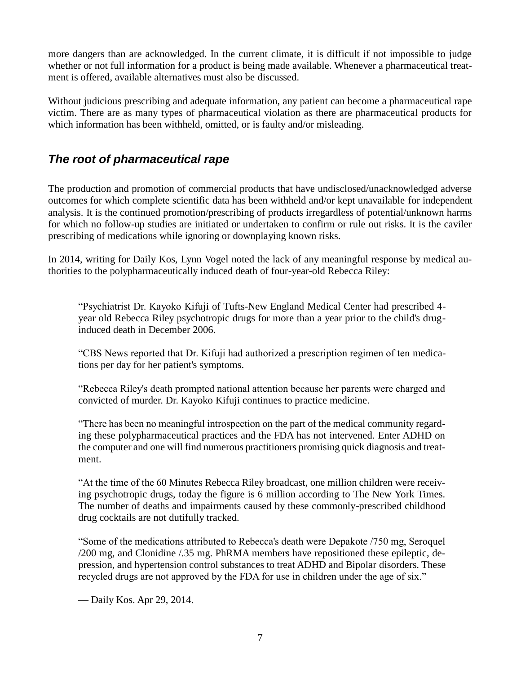more dangers than are acknowledged. In the current climate, it is difficult if not impossible to judge whether or not full information for a product is being made available. Whenever a pharmaceutical treatment is offered, available alternatives must also be discussed.

Without judicious prescribing and adequate information, any patient can become a pharmaceutical rape victim. There are as many types of pharmaceutical violation as there are pharmaceutical products for which information has been withheld, omitted, or is faulty and/or misleading.

#### *The root of pharmaceutical rape*

The production and promotion of commercial products that have undisclosed/unacknowledged adverse outcomes for which complete scientific data has been withheld and/or kept unavailable for independent analysis. It is the continued promotion/prescribing of products irregardless of potential/unknown harms for which no follow-up studies are initiated or undertaken to confirm or rule out risks. It is the caviler prescribing of medications while ignoring or downplaying known risks.

In 2014, writing for Daily Kos, Lynn Vogel noted the lack of any meaningful response by medical authorities to the polypharmaceutically induced death of four-year-old Rebecca Riley:

"Psychiatrist Dr. Kayoko Kifuji of Tufts-New England Medical Center had prescribed 4 year old Rebecca Riley psychotropic drugs for more than a year prior to the child's druginduced death in December 2006.

"CBS News reported that Dr. Kifuji had authorized a prescription regimen of ten medications per day for her patient's symptoms.

"Rebecca Riley's death prompted national attention because her parents were charged and convicted of murder. Dr. Kayoko Kifuji continues to practice medicine.

"There has been no meaningful introspection on the part of the medical community regarding these polypharmaceutical practices and the FDA has not intervened. Enter ADHD on the computer and one will find numerous practitioners promising quick diagnosis and treatment.

"At the time of the 60 Minutes Rebecca Riley broadcast, one million children were receiving psychotropic drugs, today the figure is 6 million according to The New York Times. The number of deaths and impairments caused by these commonly-prescribed childhood drug cocktails are not dutifully tracked.

"Some of the medications attributed to Rebecca's death were Depakote /750 mg, Seroquel /200 mg, and Clonidine /.35 mg. PhRMA members have repositioned these epileptic, depression, and hypertension control substances to treat ADHD and Bipolar disorders. These recycled drugs are not approved by the FDA for use in children under the age of six."

— Daily Kos. Apr 29, 2014.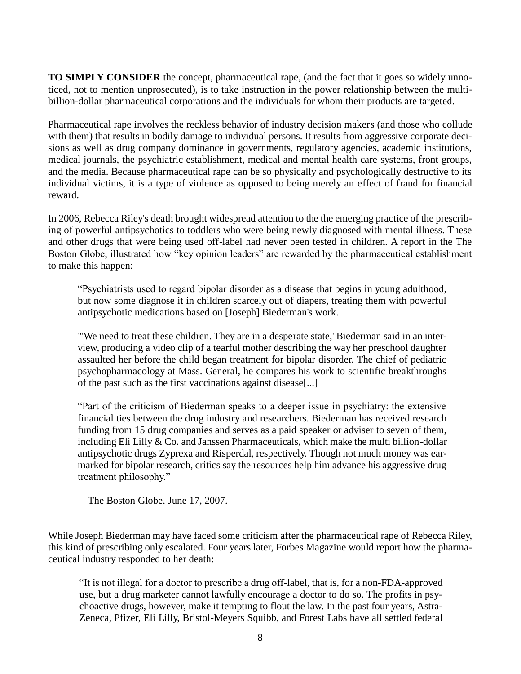**TO SIMPLY CONSIDER** the concept, pharmaceutical rape, (and the fact that it goes so widely unnoticed, not to mention unprosecuted), is to take instruction in the power relationship between the multibillion-dollar pharmaceutical corporations and the individuals for whom their products are targeted.

Pharmaceutical rape involves the reckless behavior of industry decision makers (and those who collude with them) that results in bodily damage to individual persons. It results from aggressive corporate decisions as well as drug company dominance in governments, regulatory agencies, academic institutions, medical journals, the psychiatric establishment, medical and mental health care systems, front groups, and the media. Because pharmaceutical rape can be so physically and psychologically destructive to its individual victims, it is a type of violence as opposed to being merely an effect of fraud for financial reward.

In 2006, Rebecca Riley's death brought widespread attention to the the emerging practice of the prescribing of powerful antipsychotics to toddlers who were being newly diagnosed with mental illness. These and other drugs that were being used off-label had never been tested in children. A report in the The Boston Globe, illustrated how "key opinion leaders" are rewarded by the pharmaceutical establishment to make this happen:

"Psychiatrists used to regard bipolar disorder as a disease that begins in young adulthood, but now some diagnose it in children scarcely out of diapers, treating them with powerful antipsychotic medications based on [Joseph] Biederman's work.

"'We need to treat these children. They are in a desperate state,' Biederman said in an interview, producing a video clip of a tearful mother describing the way her preschool daughter assaulted her before the child began treatment for bipolar disorder. The chief of pediatric psychopharmacology at Mass. General, he compares his work to scientific breakthroughs of the past such as the first vaccinations against disease[...]

"Part of the criticism of Biederman speaks to a deeper issue in psychiatry: the extensive financial ties between the drug industry and researchers. Biederman has received research funding from 15 drug companies and serves as a paid speaker or adviser to seven of them, including Eli Lilly & Co. and Janssen Pharmaceuticals, which make the multi billion-dollar antipsychotic drugs Zyprexa and Risperdal, respectively. Though not much money was earmarked for bipolar research, critics say the resources help him advance his aggressive drug treatment philosophy."

—The Boston Globe. June 17, 2007.

While Joseph Biederman may have faced some criticism after the pharmaceutical rape of Rebecca Riley, this kind of prescribing only escalated. Four years later, Forbes Magazine would report how the pharmaceutical industry responded to her death:

"It is not illegal for a doctor to prescribe a drug off-label, that is, for a non-FDA-approved use, but a drug marketer cannot lawfully encourage a doctor to do so. The profits in psychoactive drugs, however, make it tempting to flout the law. In the past four years, Astra-Zeneca, Pfizer, Eli Lilly, Bristol-Meyers Squibb, and Forest Labs have all settled federal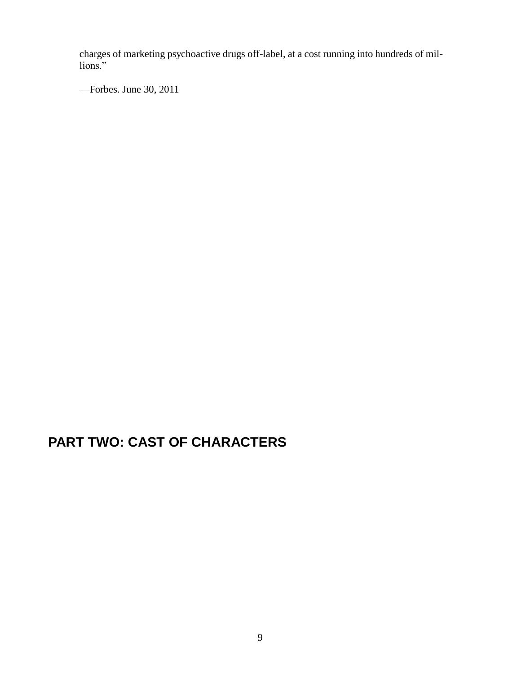charges of marketing psychoactive drugs off-label, at a cost running into hundreds of millions."

—Forbes. June 30, 2011

# **PART TWO: CAST OF CHARACTERS**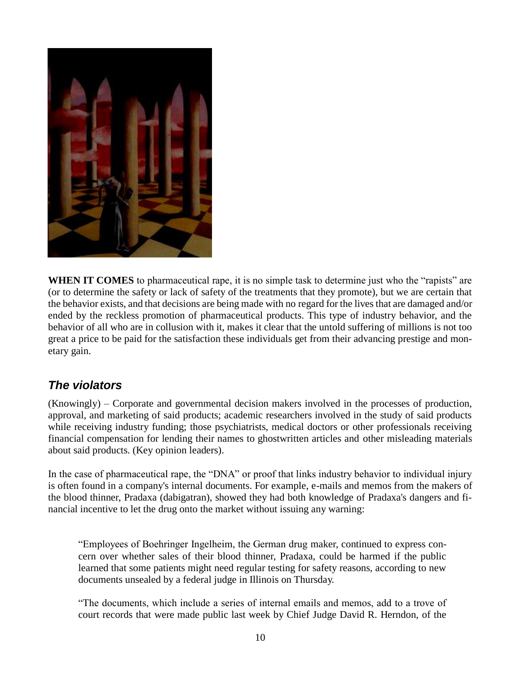

**WHEN IT COMES** to pharmaceutical rape, it is no simple task to determine just who the "rapists" are (or to determine the safety or lack of safety of the treatments that they promote), but we are certain that the behavior exists, and that decisions are being made with no regard for the lives that are damaged and/or ended by the reckless promotion of pharmaceutical products. This type of industry behavior, and the behavior of all who are in collusion with it, makes it clear that the untold suffering of millions is not too great a price to be paid for the satisfaction these individuals get from their advancing prestige and monetary gain.

#### *The violators*

(Knowingly) – Corporate and governmental decision makers involved in the processes of production, approval, and marketing of said products; academic researchers involved in the study of said products while receiving industry funding; those psychiatrists, medical doctors or other professionals receiving financial compensation for lending their names to ghostwritten articles and other misleading materials about said products. (Key opinion leaders).

In the case of pharmaceutical rape, the "DNA" or proof that links industry behavior to individual injury is often found in a company's internal documents. For example, e-mails and memos from the makers of the blood thinner, Pradaxa (dabigatran), showed they had both knowledge of Pradaxa's dangers and financial incentive to let the drug onto the market without issuing any warning:

"Employees of Boehringer Ingelheim, the German drug maker, continued to express concern over whether sales of their blood thinner, Pradaxa, could be harmed if the public learned that some patients might need regular testing for safety reasons, according to new documents unsealed by a federal judge in Illinois on Thursday.

"The documents, which include a series of internal emails and memos, add to a trove of court records that were made public last week by Chief Judge David R. Herndon, of the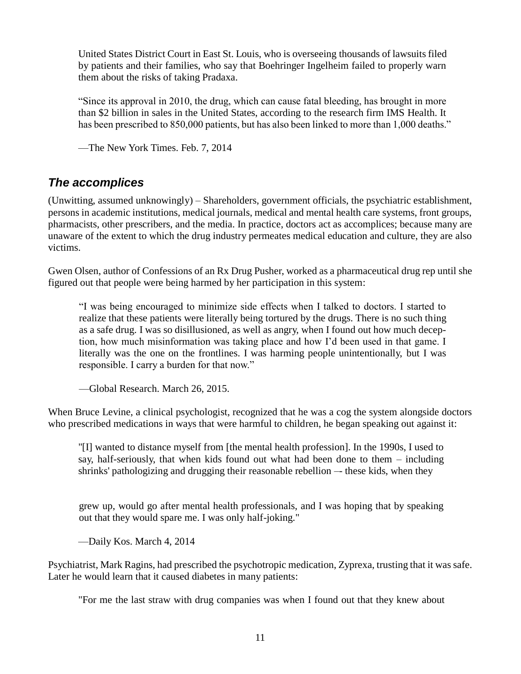United States District Court in East St. Louis, who is overseeing thousands of lawsuits filed by patients and their families, who say that Boehringer Ingelheim failed to properly warn them about the risks of taking Pradaxa.

"Since its approval in 2010, the drug, which can cause fatal bleeding, has brought in more than \$2 billion in sales in the United States, according to the research firm IMS Health. It has been prescribed to 850,000 patients, but has also been linked to more than 1,000 deaths."

—The New York Times. Feb. 7, 2014

#### *The accomplices*

(Unwitting, assumed unknowingly) – Shareholders, government officials, the psychiatric establishment, persons in academic institutions, medical journals, medical and mental health care systems, front groups, pharmacists, other prescribers, and the media. In practice, doctors act as accomplices; because many are unaware of the extent to which the drug industry permeates medical education and culture, they are also victims.

Gwen Olsen, author of Confessions of an Rx Drug Pusher, worked as a pharmaceutical drug rep until she figured out that people were being harmed by her participation in this system:

"I was being encouraged to minimize side effects when I talked to doctors. I started to realize that these patients were literally being tortured by the drugs. There is no such thing as a safe drug. I was so disillusioned, as well as angry, when I found out how much deception, how much misinformation was taking place and how I'd been used in that game. I literally was the one on the frontlines. I was harming people unintentionally, but I was responsible. I carry a burden for that now."

—Global Research. March 26, 2015.

When Bruce Levine, a clinical psychologist, recognized that he was a cog the system alongside doctors who prescribed medications in ways that were harmful to children, he began speaking out against it:

"[I] wanted to distance myself from [the mental health profession]. In the 1990s, I used to say, half-seriously, that when kids found out what had been done to them – including shrinks' pathologizing and drugging their reasonable rebellion – these kids, when they

grew up, would go after mental health professionals, and I was hoping that by speaking out that they would spare me. I was only half-joking."

—Daily Kos. March 4, 2014

Psychiatrist, Mark Ragins, had prescribed the psychotropic medication, Zyprexa, trusting that it was safe. Later he would learn that it caused diabetes in many patients:

"For me the last straw with drug companies was when I found out that they knew about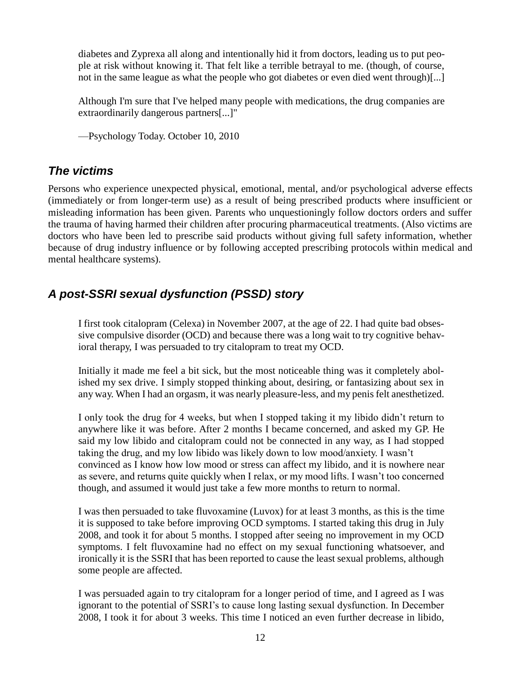diabetes and Zyprexa all along and intentionally hid it from doctors, leading us to put people at risk without knowing it. That felt like a terrible betrayal to me. (though, of course, not in the same league as what the people who got diabetes or even died went through)[...]

Although I'm sure that I've helped many people with medications, the drug companies are extraordinarily dangerous partners[...]"

—Psychology Today. October 10, 2010

## *The victims*

Persons who experience unexpected physical, emotional, mental, and/or psychological adverse effects (immediately or from longer-term use) as a result of being prescribed products where insufficient or misleading information has been given. Parents who unquestioningly follow doctors orders and suffer the trauma of having harmed their children after procuring pharmaceutical treatments. (Also victims are doctors who have been led to prescribe said products without giving full safety information, whether because of drug industry influence or by following accepted prescribing protocols within medical and mental healthcare systems).

## *A post-SSRI sexual dysfunction (PSSD) story*

I first took citalopram (Celexa) in November 2007, at the age of 22. I had quite bad obsessive compulsive disorder (OCD) and because there was a long wait to try cognitive behavioral therapy, I was persuaded to try citalopram to treat my OCD.

Initially it made me feel a bit sick, but the most noticeable thing was it completely abolished my sex drive. I simply stopped thinking about, desiring, or fantasizing about sex in any way. When I had an orgasm, it was nearly pleasure-less, and my penis felt anesthetized.

I only took the drug for 4 weeks, but when I stopped taking it my libido didn't return to anywhere like it was before. After 2 months I became concerned, and asked my GP. He said my low libido and citalopram could not be connected in any way, as I had stopped taking the drug, and my low libido was likely down to low mood/anxiety. I wasn't convinced as I know how low mood or stress can affect my libido, and it is nowhere near as severe, and returns quite quickly when I relax, or my mood lifts. I wasn't too concerned though, and assumed it would just take a few more months to return to normal.

I was then persuaded to take fluvoxamine (Luvox) for at least 3 months, as this is the time it is supposed to take before improving OCD symptoms. I started taking this drug in July 2008, and took it for about 5 months. I stopped after seeing no improvement in my OCD symptoms. I felt fluvoxamine had no effect on my sexual functioning whatsoever, and ironically it is the SSRI that has been reported to cause the least sexual problems, although some people are affected.

I was persuaded again to try citalopram for a longer period of time, and I agreed as I was ignorant to the potential of SSRI's to cause long lasting sexual dysfunction. In December 2008, I took it for about 3 weeks. This time I noticed an even further decrease in libido,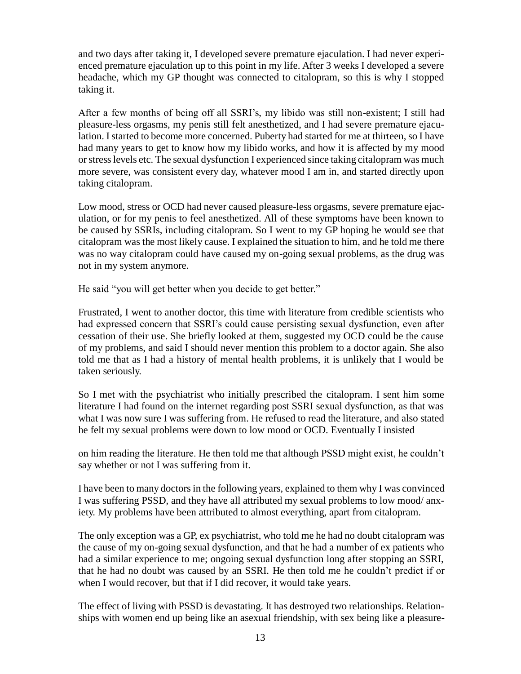and two days after taking it, I developed severe premature ejaculation. I had never experienced premature ejaculation up to this point in my life. After 3 weeks I developed a severe headache, which my GP thought was connected to citalopram, so this is why I stopped taking it.

After a few months of being off all SSRI's, my libido was still non-existent; I still had pleasure-less orgasms, my penis still felt anesthetized, and I had severe premature ejaculation. I started to become more concerned. Puberty had started for me at thirteen, so I have had many years to get to know how my libido works, and how it is affected by my mood or stress levels etc. The sexual dysfunction I experienced since taking citalopram was much more severe, was consistent every day, whatever mood I am in, and started directly upon taking citalopram.

Low mood, stress or OCD had never caused pleasure-less orgasms, severe premature ejaculation, or for my penis to feel anesthetized. All of these symptoms have been known to be caused by SSRIs, including citalopram. So I went to my GP hoping he would see that citalopram was the most likely cause. I explained the situation to him, and he told me there was no way citalopram could have caused my on-going sexual problems, as the drug was not in my system anymore.

He said "you will get better when you decide to get better."

Frustrated, I went to another doctor, this time with literature from credible scientists who had expressed concern that SSRI's could cause persisting sexual dysfunction, even after cessation of their use. She briefly looked at them, suggested my OCD could be the cause of my problems, and said I should never mention this problem to a doctor again. She also told me that as I had a history of mental health problems, it is unlikely that I would be taken seriously.

So I met with the psychiatrist who initially prescribed the citalopram. I sent him some literature I had found on the internet regarding post SSRI sexual dysfunction, as that was what I was now sure I was suffering from. He refused to read the literature, and also stated he felt my sexual problems were down to low mood or OCD. Eventually I insisted

on him reading the literature. He then told me that although PSSD might exist, he couldn't say whether or not I was suffering from it.

I have been to many doctors in the following years, explained to them why I was convinced I was suffering PSSD, and they have all attributed my sexual problems to low mood/ anxiety. My problems have been attributed to almost everything, apart from citalopram.

The only exception was a GP, ex psychiatrist, who told me he had no doubt citalopram was the cause of my on-going sexual dysfunction, and that he had a number of ex patients who had a similar experience to me; ongoing sexual dysfunction long after stopping an SSRI, that he had no doubt was caused by an SSRI. He then told me he couldn't predict if or when I would recover, but that if I did recover, it would take years.

The effect of living with PSSD is devastating. It has destroyed two relationships. Relationships with women end up being like an asexual friendship, with sex being like a pleasure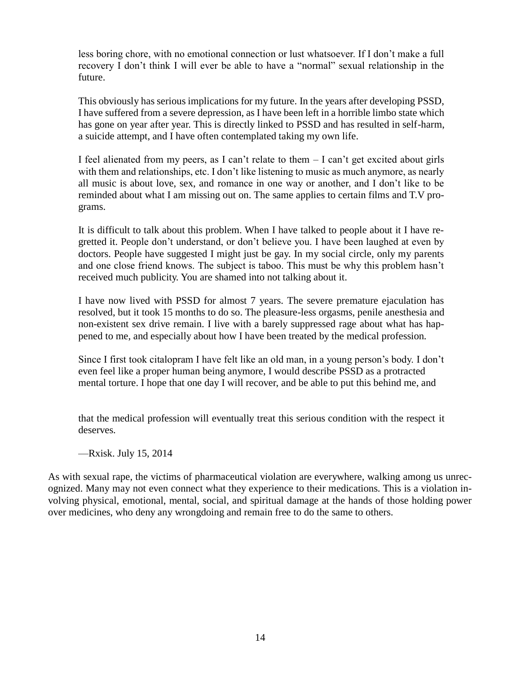less boring chore, with no emotional connection or lust whatsoever. If I don't make a full recovery I don't think I will ever be able to have a "normal" sexual relationship in the future.

This obviously has serious implications for my future. In the years after developing PSSD, I have suffered from a severe depression, as I have been left in a horrible limbo state which has gone on year after year. This is directly linked to PSSD and has resulted in self-harm, a suicide attempt, and I have often contemplated taking my own life.

I feel alienated from my peers, as I can't relate to them  $-$  I can't get excited about girls with them and relationships, etc. I don't like listening to music as much anymore, as nearly all music is about love, sex, and romance in one way or another, and I don't like to be reminded about what I am missing out on. The same applies to certain films and T.V programs.

It is difficult to talk about this problem. When I have talked to people about it I have regretted it. People don't understand, or don't believe you. I have been laughed at even by doctors. People have suggested I might just be gay. In my social circle, only my parents and one close friend knows. The subject is taboo. This must be why this problem hasn't received much publicity. You are shamed into not talking about it.

I have now lived with PSSD for almost 7 years. The severe premature ejaculation has resolved, but it took 15 months to do so. The pleasure-less orgasms, penile anesthesia and non-existent sex drive remain. I live with a barely suppressed rage about what has happened to me, and especially about how I have been treated by the medical profession.

Since I first took citalopram I have felt like an old man, in a young person's body. I don't even feel like a proper human being anymore, I would describe PSSD as a protracted mental torture. I hope that one day I will recover, and be able to put this behind me, and

that the medical profession will eventually treat this serious condition with the respect it deserves.

—Rxisk. July 15, 2014

As with sexual rape, the victims of pharmaceutical violation are everywhere, walking among us unrecognized. Many may not even connect what they experience to their medications. This is a violation involving physical, emotional, mental, social, and spiritual damage at the hands of those holding power over medicines, who deny any wrongdoing and remain free to do the same to others.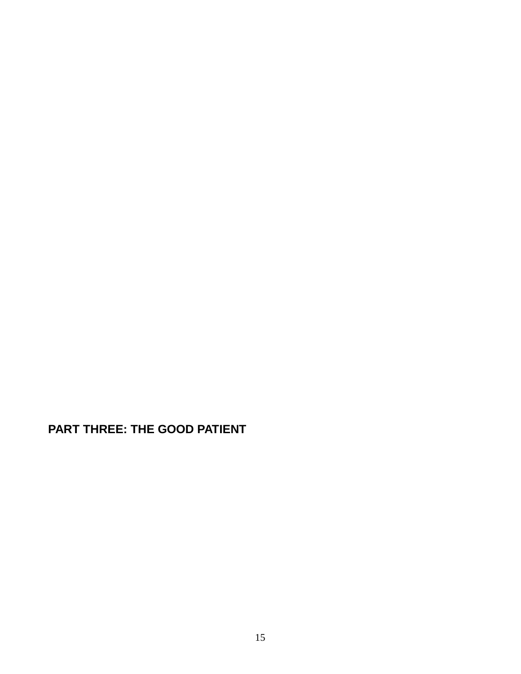**PART THREE: THE GOOD PATIENT**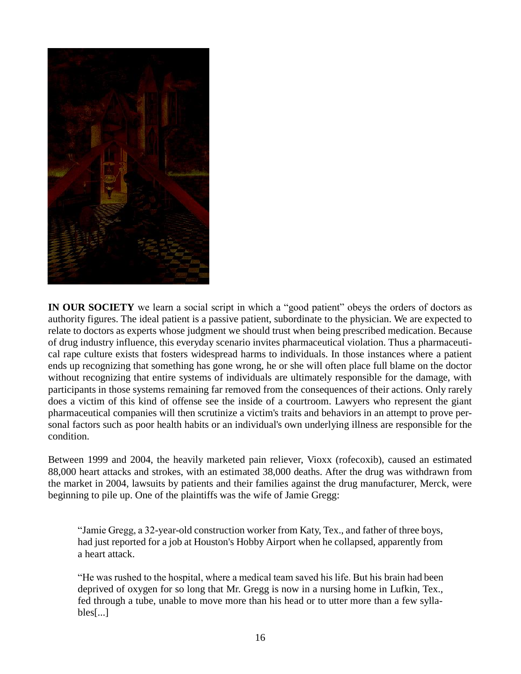

**IN OUR SOCIETY** we learn a social script in which a "good patient" obeys the orders of doctors as authority figures. The ideal patient is a passive patient, subordinate to the physician. We are expected to relate to doctors as experts whose judgment we should trust when being prescribed medication. Because of drug industry influence, this everyday scenario invites pharmaceutical violation. Thus a pharmaceutical rape culture exists that fosters widespread harms to individuals. In those instances where a patient ends up recognizing that something has gone wrong, he or she will often place full blame on the doctor without recognizing that entire systems of individuals are ultimately responsible for the damage, with participants in those systems remaining far removed from the consequences of their actions. Only rarely does a victim of this kind of offense see the inside of a courtroom. Lawyers who represent the giant pharmaceutical companies will then scrutinize a victim's traits and behaviors in an attempt to prove personal factors such as poor health habits or an individual's own underlying illness are responsible for the condition.

Between 1999 and 2004, the heavily marketed pain reliever, Vioxx (rofecoxib), caused an estimated 88,000 heart attacks and strokes, with an estimated 38,000 deaths. After the drug was withdrawn from the market in 2004, lawsuits by patients and their families against the drug manufacturer, Merck, were beginning to pile up. One of the plaintiffs was the wife of Jamie Gregg:

"Jamie Gregg, a 32-year-old construction worker from Katy, Tex., and father of three boys, had just reported for a job at Houston's Hobby Airport when he collapsed, apparently from a heart attack.

"He was rushed to the hospital, where a medical team saved his life. But his brain had been deprived of oxygen for so long that Mr. Gregg is now in a nursing home in Lufkin, Tex., fed through a tube, unable to move more than his head or to utter more than a few syllables[...]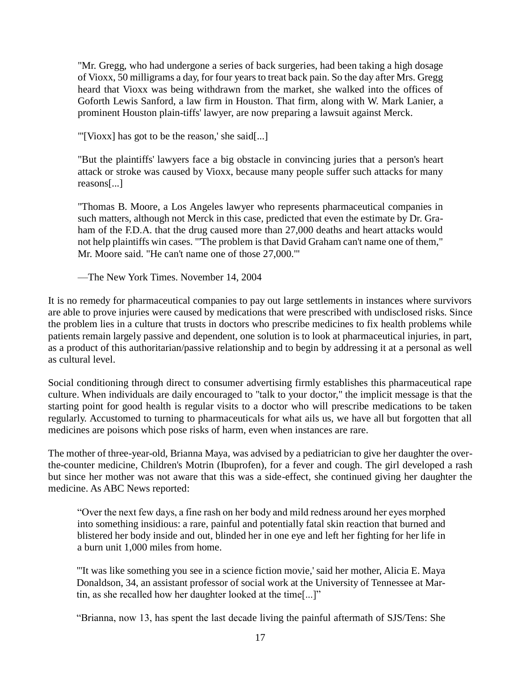"Mr. Gregg, who had undergone a series of back surgeries, had been taking a high dosage of Vioxx, 50 milligrams a day, for four years to treat back pain. So the day after Mrs. Gregg heard that Vioxx was being withdrawn from the market, she walked into the offices of Goforth Lewis Sanford, a law firm in Houston. That firm, along with W. Mark Lanier, a prominent Houston plain-tiffs' lawyer, are now preparing a lawsuit against Merck.

"'[Vioxx] has got to be the reason,' she said[...]

"But the plaintiffs' lawyers face a big obstacle in convincing juries that a person's heart attack or stroke was caused by Vioxx, because many people suffer such attacks for many reasons[...]

"Thomas B. Moore, a Los Angeles lawyer who represents pharmaceutical companies in such matters, although not Merck in this case, predicted that even the estimate by Dr. Graham of the F.D.A. that the drug caused more than 27,000 deaths and heart attacks would not help plaintiffs win cases. "'The problem is that David Graham can't name one of them," Mr. Moore said. "He can't name one of those 27,000.'"

—The New York Times. November 14, 2004

It is no remedy for pharmaceutical companies to pay out large settlements in instances where survivors are able to prove injuries were caused by medications that were prescribed with undisclosed risks. Since the problem lies in a culture that trusts in doctors who prescribe medicines to fix health problems while patients remain largely passive and dependent, one solution is to look at pharmaceutical injuries, in part, as a product of this authoritarian/passive relationship and to begin by addressing it at a personal as well as cultural level.

Social conditioning through direct to consumer advertising firmly establishes this pharmaceutical rape culture. When individuals are daily encouraged to "talk to your doctor," the implicit message is that the starting point for good health is regular visits to a doctor who will prescribe medications to be taken regularly. Accustomed to turning to pharmaceuticals for what ails us, we have all but forgotten that all medicines are poisons which pose risks of harm, even when instances are rare.

The mother of three-year-old, Brianna Maya, was advised by a pediatrician to give her daughter the overthe-counter medicine, Children's Motrin (Ibuprofen), for a fever and cough. The girl developed a rash but since her mother was not aware that this was a side-effect, she continued giving her daughter the medicine. As ABC News reported:

"Over the next few days, a fine rash on her body and mild redness around her eyes morphed into something insidious: a rare, painful and potentially fatal skin reaction that burned and blistered her body inside and out, blinded her in one eye and left her fighting for her life in a burn unit 1,000 miles from home.

"'It was like something you see in a science fiction movie,' said her mother, Alicia E. Maya Donaldson, 34, an assistant professor of social work at the University of Tennessee at Martin, as she recalled how her daughter looked at the time[...]"

"Brianna, now 13, has spent the last decade living the painful aftermath of SJS/Tens: She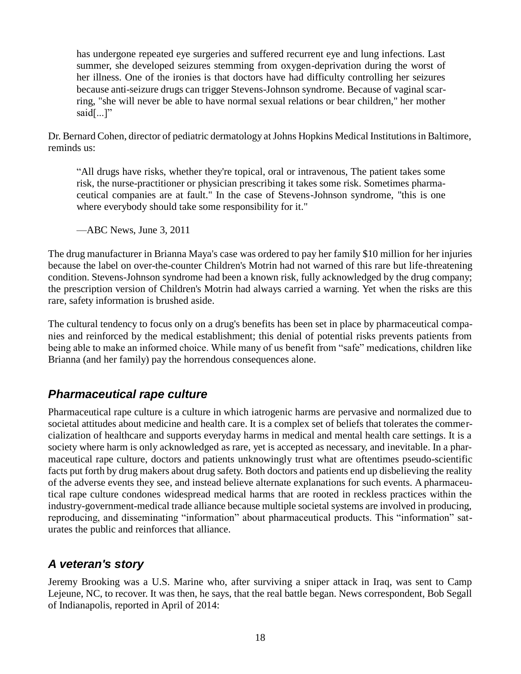has undergone repeated eye surgeries and suffered recurrent eye and lung infections. Last summer, she developed seizures stemming from oxygen-deprivation during the worst of her illness. One of the ironies is that doctors have had difficulty controlling her seizures because anti-seizure drugs can trigger Stevens-Johnson syndrome. Because of vaginal scarring, "she will never be able to have normal sexual relations or bear children," her mother said[...]"

Dr. Bernard Cohen, director of pediatric dermatology at Johns Hopkins Medical Institutions in Baltimore, reminds us:

"All drugs have risks, whether they're topical, oral or intravenous, The patient takes some risk, the nurse-practitioner or physician prescribing it takes some risk. Sometimes pharmaceutical companies are at fault." In the case of Stevens-Johnson syndrome, "this is one where everybody should take some responsibility for it."

—ABC News, June 3, 2011

The drug manufacturer in Brianna Maya's case was ordered to pay her family \$10 million for her injuries because the label on over-the-counter Children's Motrin had not warned of this rare but life-threatening condition. Stevens-Johnson syndrome had been a known risk, fully acknowledged by the drug company; the prescription version of Children's Motrin had always carried a warning. Yet when the risks are this rare, safety information is brushed aside.

The cultural tendency to focus only on a drug's benefits has been set in place by pharmaceutical companies and reinforced by the medical establishment; this denial of potential risks prevents patients from being able to make an informed choice. While many of us benefit from "safe" medications, children like Brianna (and her family) pay the horrendous consequences alone.

#### *Pharmaceutical rape culture*

Pharmaceutical rape culture is a culture in which iatrogenic harms are pervasive and normalized due to societal attitudes about medicine and health care. It is a complex set of beliefs that tolerates the commercialization of healthcare and supports everyday harms in medical and mental health care settings. It is a society where harm is only acknowledged as rare, yet is accepted as necessary, and inevitable. In a pharmaceutical rape culture, doctors and patients unknowingly trust what are oftentimes pseudo-scientific facts put forth by drug makers about drug safety. Both doctors and patients end up disbelieving the reality of the adverse events they see, and instead believe alternate explanations for such events. A pharmaceutical rape culture condones widespread medical harms that are rooted in reckless practices within the industry-government-medical trade alliance because multiple societal systems are involved in producing, reproducing, and disseminating "information" about pharmaceutical products. This "information" saturates the public and reinforces that alliance.

#### *A veteran's story*

Jeremy Brooking was a U.S. Marine who, after surviving a sniper attack in Iraq, was sent to Camp Lejeune, NC, to recover. It was then, he says, that the real battle began. News correspondent, Bob Segall of Indianapolis, reported in April of 2014: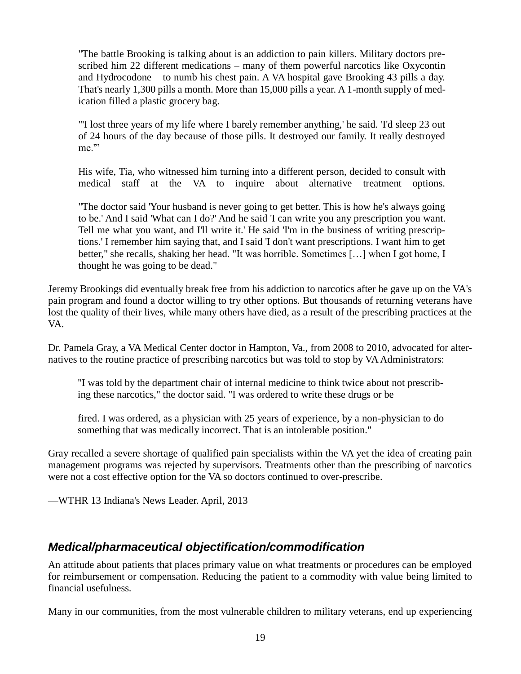"The battle Brooking is talking about is an addiction to pain killers. Military doctors prescribed him 22 different medications – many of them powerful narcotics like Oxycontin and Hydrocodone – to numb his chest pain. A VA hospital gave Brooking 43 pills a day. That's nearly 1,300 pills a month. More than 15,000 pills a year. A 1-month supply of medication filled a plastic grocery bag.

"'I lost three years of my life where I barely remember anything,' he said. 'I'd sleep 23 out of 24 hours of the day because of those pills. It destroyed our family. It really destroyed me."

His wife, Tia, who witnessed him turning into a different person, decided to consult with medical staff at the VA to inquire about alternative treatment options.

"The doctor said 'Your husband is never going to get better. This is how he's always going to be.' And I said 'What can I do?' And he said 'I can write you any prescription you want. Tell me what you want, and I'll write it.' He said 'I'm in the business of writing prescriptions.' I remember him saying that, and I said 'I don't want prescriptions. I want him to get better," she recalls, shaking her head. "It was horrible. Sometimes […] when I got home, I thought he was going to be dead."

Jeremy Brookings did eventually break free from his addiction to narcotics after he gave up on the VA's pain program and found a doctor willing to try other options. But thousands of returning veterans have lost the quality of their lives, while many others have died, as a result of the prescribing practices at the VA.

Dr. Pamela Gray, a VA Medical Center doctor in Hampton, Va., from 2008 to 2010, advocated for alternatives to the routine practice of prescribing narcotics but was told to stop by VA Administrators:

"I was told by the department chair of internal medicine to think twice about not prescribing these narcotics," the doctor said. "I was ordered to write these drugs or be

fired. I was ordered, as a physician with 25 years of experience, by a non-physician to do something that was medically incorrect. That is an intolerable position."

Gray recalled a severe shortage of qualified pain specialists within the VA yet the idea of creating pain management programs was rejected by supervisors. Treatments other than the prescribing of narcotics were not a cost effective option for the VA so doctors continued to over-prescribe.

—WTHR 13 Indiana's News Leader. April, 2013

#### *Medical/pharmaceutical objectification/commodification*

An attitude about patients that places primary value on what treatments or procedures can be employed for reimbursement or compensation. Reducing the patient to a commodity with value being limited to financial usefulness.

Many in our communities, from the most vulnerable children to military veterans, end up experiencing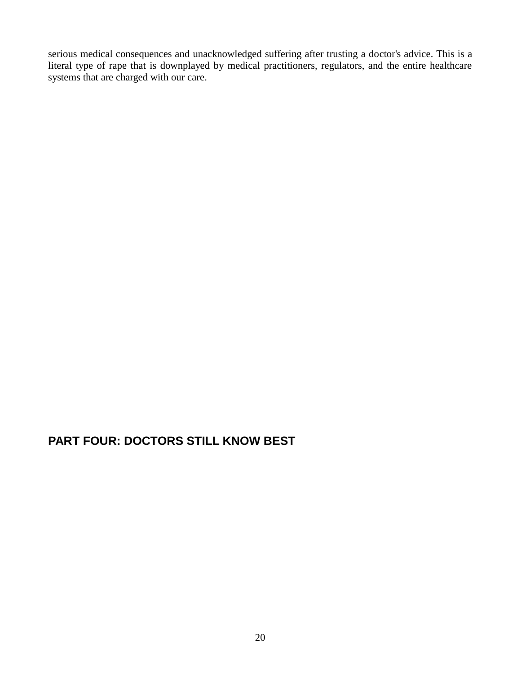serious medical consequences and unacknowledged suffering after trusting a doctor's advice. This is a literal type of rape that is downplayed by medical practitioners, regulators, and the entire healthcare systems that are charged with our care.

## **PART FOUR: DOCTORS STILL KNOW BEST**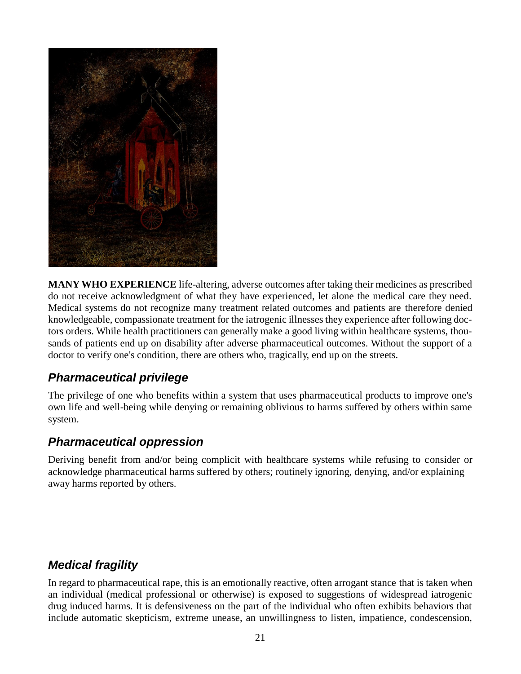

**MANY WHO EXPERIENCE** life-altering, adverse outcomes after taking their medicines as prescribed do not receive acknowledgment of what they have experienced, let alone the medical care they need. Medical systems do not recognize many treatment related outcomes and patients are therefore denied knowledgeable, compassionate treatment for the iatrogenic illnesses they experience after following doctors orders. While health practitioners can generally make a good living within healthcare systems, thousands of patients end up on disability after adverse pharmaceutical outcomes. Without the support of a doctor to verify one's condition, there are others who, tragically, end up on the streets.

#### *Pharmaceutical privilege*

The privilege of one who benefits within a system that uses pharmaceutical products to improve one's own life and well-being while denying or remaining oblivious to harms suffered by others within same system.

#### *Pharmaceutical oppression*

Deriving benefit from and/or being complicit with healthcare systems while refusing to consider or acknowledge pharmaceutical harms suffered by others; routinely ignoring, denying, and/or explaining away harms reported by others.

## *Medical fragility*

In regard to pharmaceutical rape, this is an emotionally reactive, often arrogant stance that is taken when an individual (medical professional or otherwise) is exposed to suggestions of widespread iatrogenic drug induced harms. It is defensiveness on the part of the individual who often exhibits behaviors that include automatic skepticism, extreme unease, an unwillingness to listen, impatience, condescension,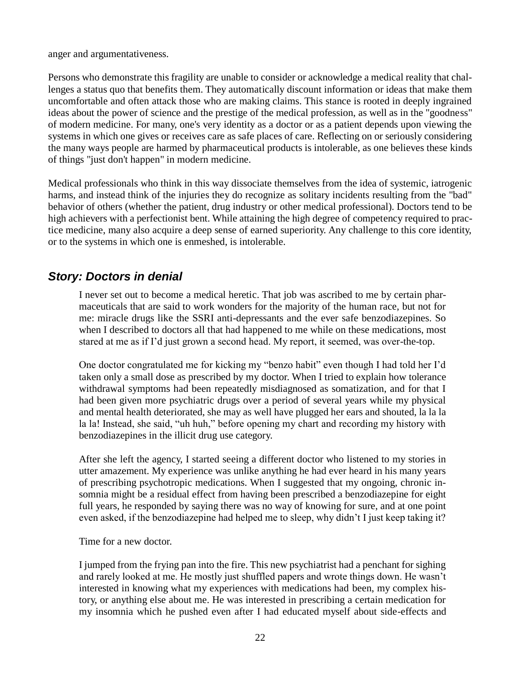anger and argumentativeness.

Persons who demonstrate this fragility are unable to consider or acknowledge a medical reality that challenges a status quo that benefits them. They automatically discount information or ideas that make them uncomfortable and often attack those who are making claims. This stance is rooted in deeply ingrained ideas about the power of science and the prestige of the medical profession, as well as in the "goodness" of modern medicine. For many, one's very identity as a doctor or as a patient depends upon viewing the systems in which one gives or receives care as safe places of care. Reflecting on or seriously considering the many ways people are harmed by pharmaceutical products is intolerable, as one believes these kinds of things "just don't happen" in modern medicine.

Medical professionals who think in this way dissociate themselves from the idea of systemic, iatrogenic harms, and instead think of the injuries they do recognize as solitary incidents resulting from the "bad" behavior of others (whether the patient, drug industry or other medical professional). Doctors tend to be high achievers with a perfectionist bent. While attaining the high degree of competency required to practice medicine, many also acquire a deep sense of earned superiority. Any challenge to this core identity, or to the systems in which one is enmeshed, is intolerable.

#### *Story: Doctors in denial*

I never set out to become a medical heretic. That job was ascribed to me by certain pharmaceuticals that are said to work wonders for the majority of the human race, but not for me: miracle drugs like the SSRI anti-depressants and the ever safe benzodiazepines. So when I described to doctors all that had happened to me while on these medications, most stared at me as if I'd just grown a second head. My report, it seemed, was over-the-top.

One doctor congratulated me for kicking my "benzo habit" even though I had told her I'd taken only a small dose as prescribed by my doctor. When I tried to explain how tolerance withdrawal symptoms had been repeatedly misdiagnosed as somatization, and for that I had been given more psychiatric drugs over a period of several years while my physical and mental health deteriorated, she may as well have plugged her ears and shouted, la la la la la! Instead, she said, "uh huh," before opening my chart and recording my history with benzodiazepines in the illicit drug use category.

After she left the agency, I started seeing a different doctor who listened to my stories in utter amazement. My experience was unlike anything he had ever heard in his many years of prescribing psychotropic medications. When I suggested that my ongoing, chronic insomnia might be a residual effect from having been prescribed a benzodiazepine for eight full years, he responded by saying there was no way of knowing for sure, and at one point even asked, if the benzodiazepine had helped me to sleep, why didn't I just keep taking it?

Time for a new doctor.

I jumped from the frying pan into the fire. This new psychiatrist had a penchant for sighing and rarely looked at me. He mostly just shuffled papers and wrote things down. He wasn't interested in knowing what my experiences with medications had been, my complex history, or anything else about me. He was interested in prescribing a certain medication for my insomnia which he pushed even after I had educated myself about side-effects and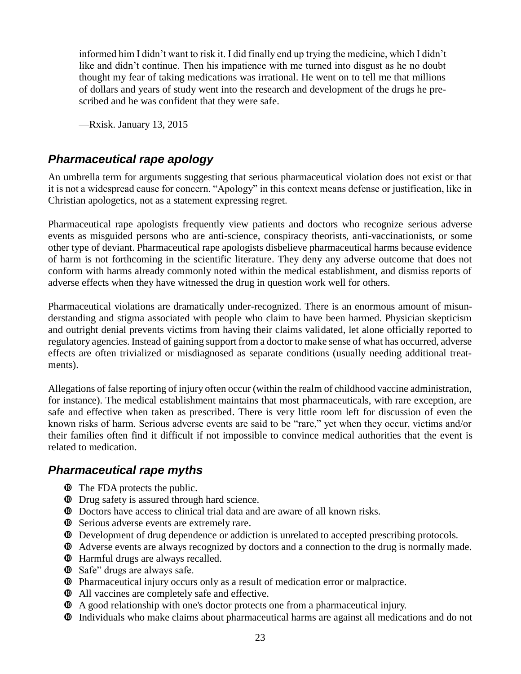informed him I didn't want to risk it. I did finally end up trying the medicine, which I didn't like and didn't continue. Then his impatience with me turned into disgust as he no doubt thought my fear of taking medications was irrational. He went on to tell me that millions of dollars and years of study went into the research and development of the drugs he prescribed and he was confident that they were safe.

—Rxisk. January 13, 2015

#### *Pharmaceutical rape apology*

An umbrella term for arguments suggesting that serious pharmaceutical violation does not exist or that it is not a widespread cause for concern. "Apology" in this context means defense or justification, like in Christian apologetics, not as a statement expressing regret.

Pharmaceutical rape apologists frequently view patients and doctors who recognize serious adverse events as misguided persons who are anti-science, conspiracy theorists, anti-vaccinationists, or some other type of deviant. Pharmaceutical rape apologists disbelieve pharmaceutical harms because evidence of harm is not forthcoming in the scientific literature. They deny any adverse outcome that does not conform with harms already commonly noted within the medical establishment, and dismiss reports of adverse effects when they have witnessed the drug in question work well for others.

Pharmaceutical violations are dramatically under-recognized. There is an enormous amount of misunderstanding and stigma associated with people who claim to have been harmed. Physician skepticism and outright denial prevents victims from having their claims validated, let alone officially reported to regulatory agencies. Instead of gaining support from a doctor to make sense of what has occurred, adverse effects are often trivialized or misdiagnosed as separate conditions (usually needing additional treatments).

Allegations of false reporting of injury often occur (within the realm of childhood vaccine administration, for instance). The medical establishment maintains that most pharmaceuticals, with rare exception, are safe and effective when taken as prescribed. There is very little room left for discussion of even the known risks of harm. Serious adverse events are said to be "rare," yet when they occur, victims and/or their families often find it difficult if not impossible to convince medical authorities that the event is related to medication.

#### *Pharmaceutical rape myths*

- $\Phi$  The FDA protects the public.
- $\bullet$  Drug safety is assured through hard science.
- Doctors have access to clinical trial data and are aware of all known risks.
- $\Phi$  Serious adverse events are extremely rare.
- Development of drug dependence or addiction is unrelated to accepted prescribing protocols.
- Adverse events are always recognized by doctors and a connection to the drug is normally made.
- Harmful drugs are always recalled.
- Safe" drugs are always safe.
- Pharmaceutical injury occurs only as a result of medication error or malpractice.
- $\bullet$  All vaccines are completely safe and effective.
- A good relationship with one's doctor protects one from a pharmaceutical injury.
- Individuals who make claims about pharmaceutical harms are against all medications and do not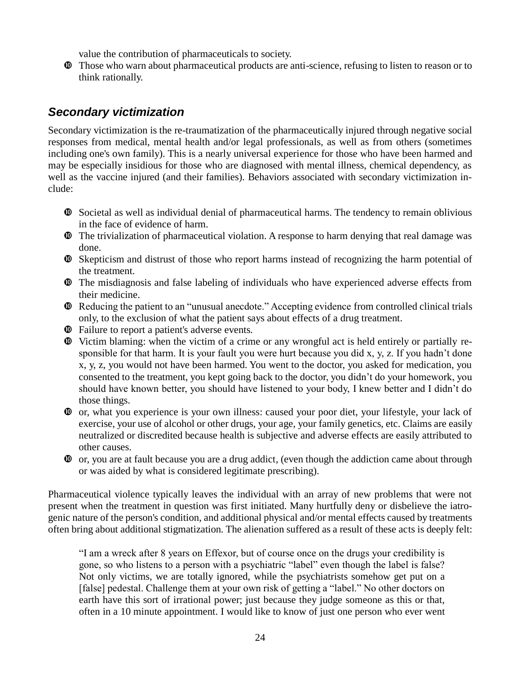value the contribution of pharmaceuticals to society.

 Those who warn about pharmaceutical products are anti-science, refusing to listen to reason or to think rationally.

#### *Secondary victimization*

Secondary victimization is the re-traumatization of the pharmaceutically injured through negative social responses from medical, mental health and/or legal professionals, as well as from others (sometimes including one's own family). This is a nearly universal experience for those who have been harmed and may be especially insidious for those who are diagnosed with mental illness, chemical dependency, as well as the vaccine injured (and their families). Behaviors associated with secondary victimization include:

- Societal as well as individual denial of pharmaceutical harms. The tendency to remain oblivious in the face of evidence of harm.
- The trivialization of pharmaceutical violation. A response to harm denying that real damage was done.
- Skepticism and distrust of those who report harms instead of recognizing the harm potential of the treatment.
- The misdiagnosis and false labeling of individuals who have experienced adverse effects from their medicine.
- Reducing the patient to an "unusual anecdote." Accepting evidence from controlled clinical trials only, to the exclusion of what the patient says about effects of a drug treatment.
- Failure to report a patient's adverse events.
- Victim blaming: when the victim of a crime or any wrongful act is held entirely or partially responsible for that harm. It is your fault you were hurt because you did x, y, z. If you hadn't done x, y, z, you would not have been harmed. You went to the doctor, you asked for medication, you consented to the treatment, you kept going back to the doctor, you didn't do your homework, you should have known better, you should have listened to your body, I knew better and I didn't do those things.
- or, what you experience is your own illness: caused your poor diet, your lifestyle, your lack of exercise, your use of alcohol or other drugs, your age, your family genetics, etc. Claims are easily neutralized or discredited because health is subjective and adverse effects are easily attributed to other causes.
- $\Phi$  or, you are at fault because you are a drug addict, (even though the addiction came about through or was aided by what is considered legitimate prescribing).

Pharmaceutical violence typically leaves the individual with an array of new problems that were not present when the treatment in question was first initiated. Many hurtfully deny or disbelieve the iatrogenic nature of the person's condition, and additional physical and/or mental effects caused by treatments often bring about additional stigmatization. The alienation suffered as a result of these acts is deeply felt:

"I am a wreck after 8 years on Effexor, but of course once on the drugs your credibility is gone, so who listens to a person with a psychiatric "label" even though the label is false? Not only victims, we are totally ignored, while the psychiatrists somehow get put on a [false] pedestal. Challenge them at your own risk of getting a "label." No other doctors on earth have this sort of irrational power; just because they judge someone as this or that, often in a 10 minute appointment. I would like to know of just one person who ever went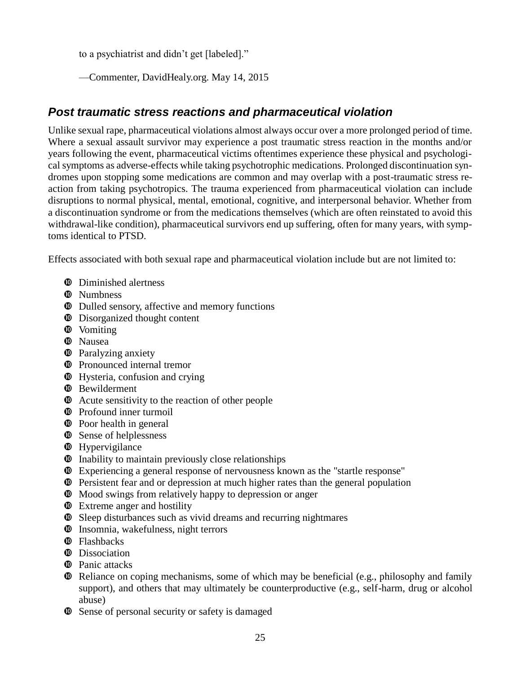to a psychiatrist and didn't get [labeled]."

—Commenter, DavidHealy.org. May 14, 2015

#### *Post traumatic stress reactions and pharmaceutical violation*

Unlike sexual rape, pharmaceutical violations almost always occur over a more prolonged period of time. Where a sexual assault survivor may experience a post traumatic stress reaction in the months and/or years following the event, pharmaceutical victims oftentimes experience these physical and psychological symptoms as adverse-effects while taking psychotrophic medications. Prolonged discontinuation syndromes upon stopping some medications are common and may overlap with a post-traumatic stress reaction from taking psychotropics. The trauma experienced from pharmaceutical violation can include disruptions to normal physical, mental, emotional, cognitive, and interpersonal behavior. Whether from a discontinuation syndrome or from the medications themselves (which are often reinstated to avoid this withdrawal-like condition), pharmaceutical survivors end up suffering, often for many years, with symptoms identical to PTSD.

Effects associated with both sexual rape and pharmaceutical violation include but are not limited to:

- $\Phi$  Diminished alertness
- <sup>**<sup>0</sup>** Numbness</sup>
- Dulled sensory, affective and memory functions
- $\bullet$  Disorganized thought content
- $\Phi$  Vomiting
- **<sup>** $\Phi$ **</sup>** Nausea
- $\Phi$  Paralyzing anxiety
- $\Phi$  Pronounced internal tremor
- $\Phi$  Hysteria, confusion and crying
- **<sup>** $\Phi$ **</sup>** Bewilderment
- $\Phi$  Acute sensitivity to the reaction of other people
- $\Phi$  Profound inner turmoil
- $\Phi$  Poor health in general
- $\bullet$  Sense of helplessness
- $\bullet$  Hypervigilance
- $\Phi$  Inability to maintain previously close relationships
- Experiencing a general response of nervousness known as the "startle response"
- Persistent fear and or depression at much higher rates than the general population
- $\Phi$  Mood swings from relatively happy to depression or anger
- $\Phi$  Extreme anger and hostility
- Sleep disturbances such as vivid dreams and recurring nightmares
- $\Phi$  Insomnia, wakefulness, night terrors
- **<sup><b>**</sub> Flashbacks</sup>
- **<sup>** $\Phi$ **</sup>** Dissociation
- **<sup>** $\Phi$ **</sup>** Panic attacks
- Reliance on coping mechanisms, some of which may be beneficial (e.g., philosophy and family support), and others that may ultimately be counterproductive (e.g., self-harm, drug or alcohol abuse)
- $\Phi$  Sense of personal security or safety is damaged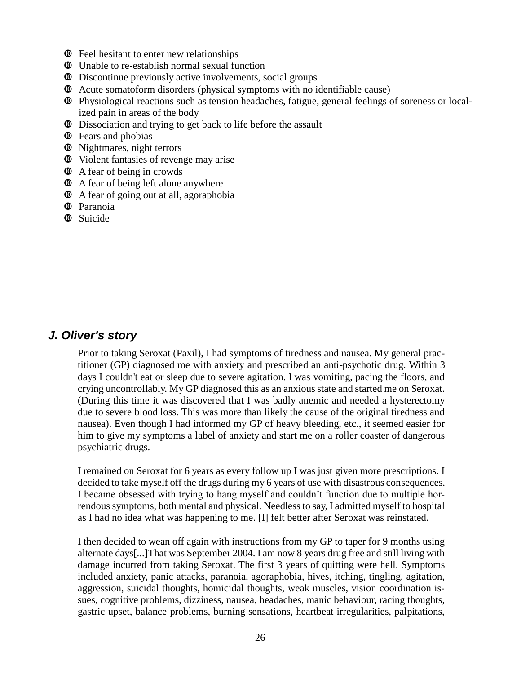- $\Phi$  Feel hesitant to enter new relationships
- Unable to re-establish normal sexual function
- Discontinue previously active involvements, social groups
- Acute somatoform disorders (physical symptoms with no identifiable cause)
- Physiological reactions such as tension headaches, fatigue, general feelings of soreness or localized pain in areas of the body
- $\Phi$  Dissociation and trying to get back to life before the assault
- $\Phi$  Fears and phobias
- $\Phi$  Nightmares, night terrors
- Violent fantasies of revenge may arise
- $\Phi$  A fear of being in crowds
- $\Phi$  A fear of being left alone anywhere
- $\Phi$  A fear of going out at all, agoraphobia
- <sup> $\Phi$ </sup> Paranoia
- **<sup><b>**</sup> Suicide

#### *J. Oliver's story*

Prior to taking Seroxat (Paxil), I had symptoms of tiredness and nausea. My general practitioner (GP) diagnosed me with anxiety and prescribed an anti-psychotic drug. Within 3 days I couldn't eat or sleep due to severe agitation. I was vomiting, pacing the floors, and crying uncontrollably. My GP diagnosed this as an anxious state and started me on Seroxat. (During this time it was discovered that I was badly anemic and needed a hysterectomy due to severe blood loss. This was more than likely the cause of the original tiredness and nausea). Even though I had informed my GP of heavy bleeding, etc., it seemed easier for him to give my symptoms a label of anxiety and start me on a roller coaster of dangerous psychiatric drugs.

I remained on Seroxat for 6 years as every follow up I was just given more prescriptions. I decided to take myself off the drugs during my 6 years of use with disastrous consequences. I became obsessed with trying to hang myself and couldn't function due to multiple horrendous symptoms, both mental and physical. Needless to say, I admitted myself to hospital as I had no idea what was happening to me. [I] felt better after Seroxat was reinstated.

I then decided to wean off again with instructions from my GP to taper for 9 months using alternate days[...]That was September 2004. I am now 8 years drug free and still living with damage incurred from taking Seroxat. The first 3 years of quitting were hell. Symptoms included anxiety, panic attacks, paranoia, agoraphobia, hives, itching, tingling, agitation, aggression, suicidal thoughts, homicidal thoughts, weak muscles, vision coordination issues, cognitive problems, dizziness, nausea, headaches, manic behaviour, racing thoughts, gastric upset, balance problems, burning sensations, heartbeat irregularities, palpitations,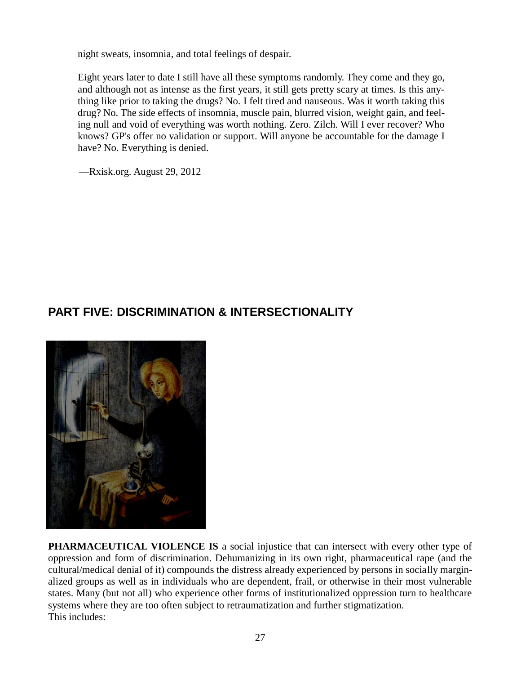night sweats, insomnia, and total feelings of despair.

Eight years later to date I still have all these symptoms randomly. They come and they go, and although not as intense as the first years, it still gets pretty scary at times. Is this anything like prior to taking the drugs? No. I felt tired and nauseous. Was it worth taking this drug? No. The side effects of insomnia, muscle pain, blurred vision, weight gain, and feeling null and void of everything was worth nothing. Zero. Zilch. Will I ever recover? Who knows? GP's offer no validation or support. Will anyone be accountable for the damage I have? No. Everything is denied.

—Rxisk.org. August 29, 2012

#### **PART FIVE: DISCRIMINATION & INTERSECTIONALITY**



**PHARMACEUTICAL VIOLENCE IS** a social injustice that can intersect with every other type of oppression and form of discrimination. Dehumanizing in its own right, pharmaceutical rape (and the cultural/medical denial of it) compounds the distress already experienced by persons in socially marginalized groups as well as in individuals who are dependent, frail, or otherwise in their most vulnerable states. Many (but not all) who experience other forms of institutionalized oppression turn to healthcare systems where they are too often subject to retraumatization and further stigmatization. This includes: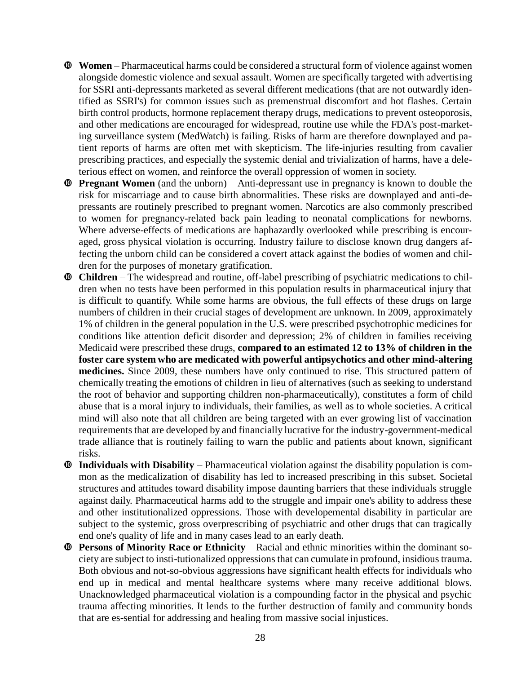- **Women** Pharmaceutical harms could be considered a structural form of violence against women alongside domestic violence and sexual assault. Women are specifically targeted with advertising for SSRI anti-depressants marketed as several different medications (that are not outwardly identified as SSRI's) for common issues such as premenstrual discomfort and hot flashes. Certain birth control products, hormone replacement therapy drugs, medications to prevent osteoporosis, and other medications are encouraged for widespread, routine use while the FDA's post-marketing surveillance system (MedWatch) is failing. Risks of harm are therefore downplayed and patient reports of harms are often met with skepticism. The life-injuries resulting from cavalier prescribing practices, and especially the systemic denial and trivialization of harms, have a deleterious effect on women, and reinforce the overall oppression of women in society.
- **Pregnant Women** (and the unborn) Anti-depressant use in pregnancy is known to double the risk for miscarriage and to cause birth abnormalities. These risks are downplayed and anti-depressants are routinely prescribed to pregnant women. Narcotics are also commonly prescribed to women for pregnancy-related back pain leading to neonatal complications for newborns. Where adverse-effects of medications are haphazardly overlooked while prescribing is encouraged, gross physical violation is occurring. Industry failure to disclose known drug dangers affecting the unborn child can be considered a covert attack against the bodies of women and children for the purposes of monetary gratification.
- **Children** The widespread and routine, off-label prescribing of psychiatric medications to children when no tests have been performed in this population results in pharmaceutical injury that is difficult to quantify. While some harms are obvious, the full effects of these drugs on large numbers of children in their crucial stages of development are unknown. In 2009, approximately 1% of children in the general population in the U.S. were prescribed psychotrophic medicines for conditions like attention deficit disorder and depression; 2% of children in families receiving Medicaid were prescribed these drugs, **compared to an estimated 12 to 13% of children in the foster care system who are medicated with powerful antipsychotics and other mind-altering medicines.** Since 2009, these numbers have only continued to rise. This structured pattern of chemically treating the emotions of children in lieu of alternatives (such as seeking to understand the root of behavior and supporting children non-pharmaceutically), constitutes a form of child abuse that is a moral injury to individuals, their families, as well as to whole societies. A critical mind will also note that all children are being targeted with an ever growing list of vaccination requirements that are developed by and financially lucrative for the industry-government-medical trade alliance that is routinely failing to warn the public and patients about known, significant risks.
- **Individuals with Disability** Pharmaceutical violation against the disability population is common as the medicalization of disability has led to increased prescribing in this subset. Societal structures and attitudes toward disability impose daunting barriers that these individuals struggle against daily. Pharmaceutical harms add to the struggle and impair one's ability to address these and other institutionalized oppressions. Those with developemental disability in particular are subject to the systemic, gross overprescribing of psychiatric and other drugs that can tragically end one's quality of life and in many cases lead to an early death.
- **Persons of Minority Race or Ethnicity** Racial and ethnic minorities within the dominant society are subject to insti-tutionalized oppressions that can cumulate in profound, insidious trauma. Both obvious and not-so-obvious aggressions have significant health effects for individuals who end up in medical and mental healthcare systems where many receive additional blows. Unacknowledged pharmaceutical violation is a compounding factor in the physical and psychic trauma affecting minorities. It lends to the further destruction of family and community bonds that are es-sential for addressing and healing from massive social injustices.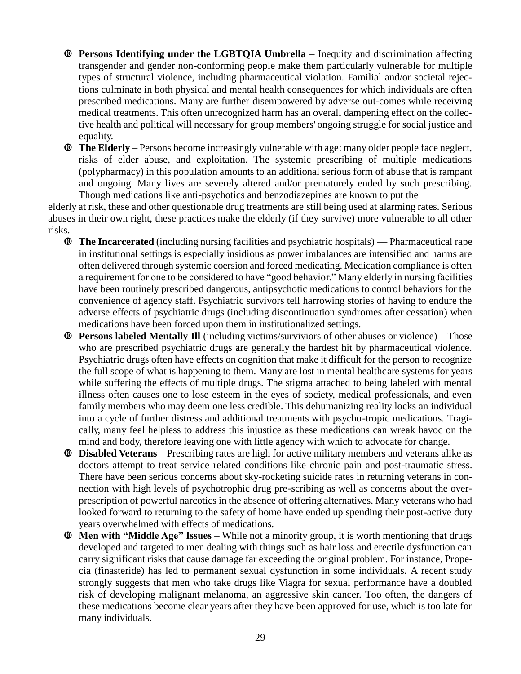- **Persons Identifying under the LGBTQIA Umbrella** Inequity and discrimination affecting transgender and gender non-conforming people make them particularly vulnerable for multiple types of structural violence, including pharmaceutical violation. Familial and/or societal rejections culminate in both physical and mental health consequences for which individuals are often prescribed medications. Many are further disempowered by adverse out-comes while receiving medical treatments. This often unrecognized harm has an overall dampening effect on the collective health and political will necessary for group members' ongoing struggle for social justice and equality.
- **The Elderly** Persons become increasingly vulnerable with age: many older people face neglect, risks of elder abuse, and exploitation. The systemic prescribing of multiple medications (polypharmacy) in this population amounts to an additional serious form of abuse that is rampant and ongoing. Many lives are severely altered and/or prematurely ended by such prescribing. Though medications like anti-psychotics and benzodiazepines are known to put the

elderly at risk, these and other questionable drug treatments are still being used at alarming rates. Serious abuses in their own right, these practices make the elderly (if they survive) more vulnerable to all other risks.

- **The Incarcerated** (including nursing facilities and psychiatric hospitals) Pharmaceutical rape in institutional settings is especially insidious as power imbalances are intensified and harms are often delivered through systemic coersion and forced medicating. Medication compliance is often a requirement for one to be considered to have "good behavior." Many elderly in nursing facilities have been routinely prescribed dangerous, antipsychotic medications to control behaviors for the convenience of agency staff. Psychiatric survivors tell harrowing stories of having to endure the adverse effects of psychiatric drugs (including discontinuation syndromes after cessation) when medications have been forced upon them in institutionalized settings.
- **Persons labeled Mentally Ill** (including victims/surviviors of other abuses or violence) Those who are prescribed psychiatric drugs are generally the hardest hit by pharmaceutical violence. Psychiatric drugs often have effects on cognition that make it difficult for the person to recognize the full scope of what is happening to them. Many are lost in mental healthcare systems for years while suffering the effects of multiple drugs. The stigma attached to being labeled with mental illness often causes one to lose esteem in the eyes of society, medical professionals, and even family members who may deem one less credible. This dehumanizing reality locks an individual into a cycle of further distress and additional treatments with psycho-tropic medications. Tragically, many feel helpless to address this injustice as these medications can wreak havoc on the mind and body, therefore leaving one with little agency with which to advocate for change.
- **Disabled Veterans** Prescribing rates are high for active military members and veterans alike as doctors attempt to treat service related conditions like chronic pain and post-traumatic stress. There have been serious concerns about sky-rocketing suicide rates in returning veterans in connection with high levels of psychotrophic drug pre-scribing as well as concerns about the overprescription of powerful narcotics in the absence of offering alternatives. Many veterans who had looked forward to returning to the safety of home have ended up spending their post-active duty years overwhelmed with effects of medications.
- **Men with "Middle Age" Issues** While not a minority group, it is worth mentioning that drugs developed and targeted to men dealing with things such as hair loss and erectile dysfunction can carry significant risks that cause damage far exceeding the original problem. For instance, Propecia (finasteride) has led to permanent sexual dysfunction in some individuals. A recent study strongly suggests that men who take drugs like Viagra for sexual performance have a doubled risk of developing malignant melanoma, an aggressive skin cancer. Too often, the dangers of these medications become clear years after they have been approved for use, which is too late for many individuals.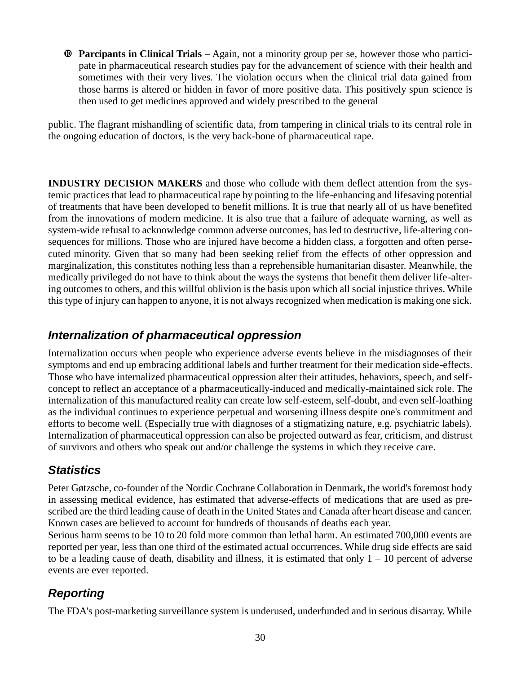**Parcipants in Clinical Trials** – Again, not a minority group per se, however those who participate in pharmaceutical research studies pay for the advancement of science with their health and sometimes with their very lives. The violation occurs when the clinical trial data gained from those harms is altered or hidden in favor of more positive data. This positively spun science is then used to get medicines approved and widely prescribed to the general

public. The flagrant mishandling of scientific data, from tampering in clinical trials to its central role in the ongoing education of doctors, is the very back-bone of pharmaceutical rape.

**INDUSTRY DECISION MAKERS** and those who collude with them deflect attention from the systemic practices that lead to pharmaceutical rape by pointing to the life-enhancing and lifesaving potential of treatments that have been developed to benefit millions. It is true that nearly all of us have benefited from the innovations of modern medicine. It is also true that a failure of adequate warning, as well as system-wide refusal to acknowledge common adverse outcomes, has led to destructive, life-altering consequences for millions. Those who are injured have become a hidden class, a forgotten and often persecuted minority. Given that so many had been seeking relief from the effects of other oppression and marginalization, this constitutes nothing less than a reprehensible humanitarian disaster. Meanwhile, the medically privileged do not have to think about the ways the systems that benefit them deliver life-altering outcomes to others, and this willful oblivion is the basis upon which all social injustice thrives. While this type of injury can happen to anyone, it is not always recognized when medication is making one sick.

## *Internalization of pharmaceutical oppression*

Internalization occurs when people who experience adverse events believe in the misdiagnoses of their symptoms and end up embracing additional labels and further treatment for their medication side-effects. Those who have internalized pharmaceutical oppression alter their attitudes, behaviors, speech, and selfconcept to reflect an acceptance of a pharmaceutically-induced and medically-maintained sick role. The internalization of this manufactured reality can create low self-esteem, self-doubt, and even self-loathing as the individual continues to experience perpetual and worsening illness despite one's commitment and efforts to become well. (Especially true with diagnoses of a stigmatizing nature, e.g. psychiatric labels). Internalization of pharmaceutical oppression can also be projected outward as fear, criticism, and distrust of survivors and others who speak out and/or challenge the systems in which they receive care.

## *Statistics*

Peter Gøtzsche, co-founder of the Nordic Cochrane Collaboration in Denmark, the world's foremost body in assessing medical evidence, has estimated that adverse-effects of medications that are used as prescribed are the third leading cause of death in the United States and Canada after heart disease and cancer. Known cases are believed to account for hundreds of thousands of deaths each year.

Serious harm seems to be 10 to 20 fold more common than lethal harm. An estimated 700,000 events are reported per year, less than one third of the estimated actual occurrences. While drug side effects are said to be a leading cause of death, disability and illness, it is estimated that only  $1 - 10$  percent of adverse events are ever reported.

# *Reporting*

The FDA's post-marketing surveillance system is underused, underfunded and in serious disarray. While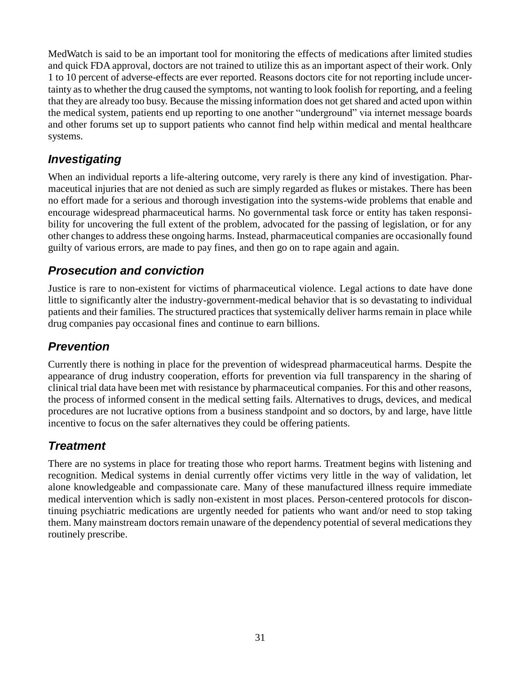MedWatch is said to be an important tool for monitoring the effects of medications after limited studies and quick FDA approval, doctors are not trained to utilize this as an important aspect of their work. Only 1 to 10 percent of adverse-effects are ever reported. Reasons doctors cite for not reporting include uncertainty as to whether the drug caused the symptoms, not wanting to look foolish for reporting, and a feeling that they are already too busy. Because the missing information does not get shared and acted upon within the medical system, patients end up reporting to one another "underground" via internet message boards and other forums set up to support patients who cannot find help within medical and mental healthcare systems.

#### *Investigating*

When an individual reports a life-altering outcome, very rarely is there any kind of investigation. Pharmaceutical injuries that are not denied as such are simply regarded as flukes or mistakes. There has been no effort made for a serious and thorough investigation into the systems-wide problems that enable and encourage widespread pharmaceutical harms. No governmental task force or entity has taken responsibility for uncovering the full extent of the problem, advocated for the passing of legislation, or for any other changes to address these ongoing harms. Instead, pharmaceutical companies are occasionally found guilty of various errors, are made to pay fines, and then go on to rape again and again.

#### *Prosecution and conviction*

Justice is rare to non-existent for victims of pharmaceutical violence. Legal actions to date have done little to significantly alter the industry-government-medical behavior that is so devastating to individual patients and their families. The structured practices that systemically deliver harms remain in place while drug companies pay occasional fines and continue to earn billions.

## *Prevention*

Currently there is nothing in place for the prevention of widespread pharmaceutical harms. Despite the appearance of drug industry cooperation, efforts for prevention via full transparency in the sharing of clinical trial data have been met with resistance by pharmaceutical companies. For this and other reasons, the process of informed consent in the medical setting fails. Alternatives to drugs, devices, and medical procedures are not lucrative options from a business standpoint and so doctors, by and large, have little incentive to focus on the safer alternatives they could be offering patients.

#### *Treatment*

There are no systems in place for treating those who report harms. Treatment begins with listening and recognition. Medical systems in denial currently offer victims very little in the way of validation, let alone knowledgeable and compassionate care. Many of these manufactured illness require immediate medical intervention which is sadly non-existent in most places. Person-centered protocols for discontinuing psychiatric medications are urgently needed for patients who want and/or need to stop taking them. Many mainstream doctors remain unaware of the dependency potential of several medications they routinely prescribe.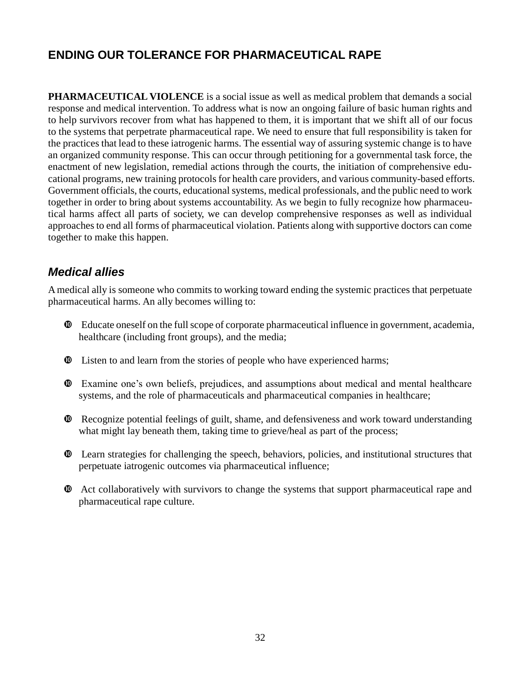# **ENDING OUR TOLERANCE FOR PHARMACEUTICAL RAPE**

**PHARMACEUTICAL VIOLENCE** is a social issue as well as medical problem that demands a social response and medical intervention. To address what is now an ongoing failure of basic human rights and to help survivors recover from what has happened to them, it is important that we shift all of our focus to the systems that perpetrate pharmaceutical rape. We need to ensure that full responsibility is taken for the practices that lead to these iatrogenic harms. The essential way of assuring systemic change is to have an organized community response. This can occur through petitioning for a governmental task force, the enactment of new legislation, remedial actions through the courts, the initiation of comprehensive educational programs, new training protocols for health care providers, and various community-based efforts. Government officials, the courts, educational systems, medical professionals, and the public need to work together in order to bring about systems accountability. As we begin to fully recognize how pharmaceutical harms affect all parts of society, we can develop comprehensive responses as well as individual approaches to end all forms of pharmaceutical violation. Patients along with supportive doctors can come together to make this happen.

#### *Medical allies*

A medical ally is someone who commits to working toward ending the systemic practices that perpetuate pharmaceutical harms. An ally becomes willing to:

- Educate oneself on the full scope of corporate pharmaceutical influence in government, academia, healthcare (including front groups), and the media;
- Listen to and learn from the stories of people who have experienced harms;
- Examine one's own beliefs, prejudices, and assumptions about medical and mental healthcare systems, and the role of pharmaceuticals and pharmaceutical companies in healthcare;
- Recognize potential feelings of guilt, shame, and defensiveness and work toward understanding what might lay beneath them, taking time to grieve/heal as part of the process;
- Learn strategies for challenging the speech, behaviors, policies, and institutional structures that perpetuate iatrogenic outcomes via pharmaceutical influence;
- Act collaboratively with survivors to change the systems that support pharmaceutical rape and pharmaceutical rape culture.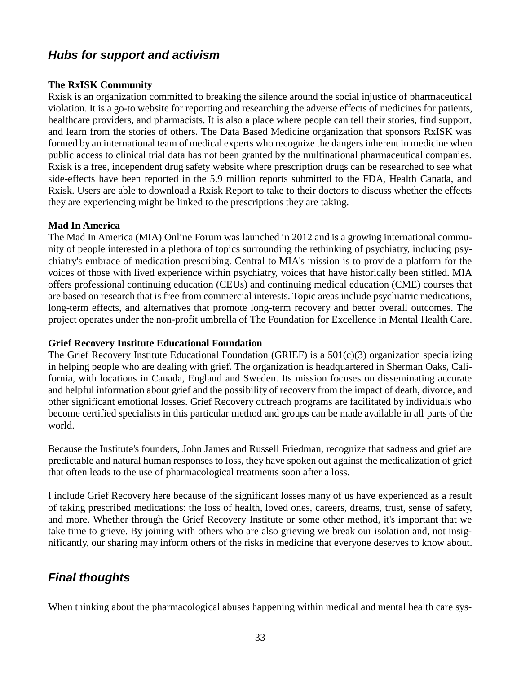#### *Hubs for support and activism*

#### **The RxISK Community**

Rxisk is an organization committed to breaking the silence around the social injustice of pharmaceutical violation. It is a go-to website for reporting and researching the adverse effects of medicines for patients, healthcare providers, and pharmacists. It is also a place where people can tell their stories, find support, and learn from the stories of others. The Data Based Medicine organization that sponsors RxISK was formed by an international team of medical experts who recognize the dangers inherent in medicine when public access to clinical trial data has not been granted by the multinational pharmaceutical companies. Rxisk is a free, independent drug safety website where prescription drugs can be researched to see what side-effects have been reported in the 5.9 million reports submitted to the FDA, Health Canada, and Rxisk. Users are able to download a Rxisk Report to take to their doctors to discuss whether the effects they are experiencing might be linked to the prescriptions they are taking.

#### **Mad In America**

The Mad In America (MIA) Online Forum was launched in 2012 and is a growing international community of people interested in a plethora of topics surrounding the rethinking of psychiatry, including psychiatry's embrace of medication prescribing. Central to MIA's mission is to provide a platform for the voices of those with lived experience within psychiatry, voices that have historically been stifled. MIA offers professional continuing education (CEUs) and continuing medical education (CME) courses that are based on research that is free from commercial interests. Topic areas include psychiatric medications, long-term effects, and alternatives that promote long-term recovery and better overall outcomes. The project operates under the non-profit umbrella of The Foundation for Excellence in Mental Health Care.

#### **Grief Recovery Institute Educational Foundation**

The Grief Recovery Institute Educational Foundation (GRIEF) is a 501(c)(3) organization specializing in helping people who are dealing with grief. The organization is headquartered in Sherman Oaks, California, with locations in Canada, England and Sweden. Its mission focuses on disseminating accurate and helpful information about grief and the possibility of recovery from the impact of death, divorce, and other significant emotional losses. Grief Recovery outreach programs are facilitated by individuals who become certified specialists in this particular method and groups can be made available in all parts of the world.

Because the Institute's founders, John James and Russell Friedman, recognize that sadness and grief are predictable and natural human responses to loss, they have spoken out against the medicalization of grief that often leads to the use of pharmacological treatments soon after a loss.

I include Grief Recovery here because of the significant losses many of us have experienced as a result of taking prescribed medications: the loss of health, loved ones, careers, dreams, trust, sense of safety, and more. Whether through the Grief Recovery Institute or some other method, it's important that we take time to grieve. By joining with others who are also grieving we break our isolation and, not insignificantly, our sharing may inform others of the risks in medicine that everyone deserves to know about.

#### *Final thoughts*

When thinking about the pharmacological abuses happening within medical and mental health care sys-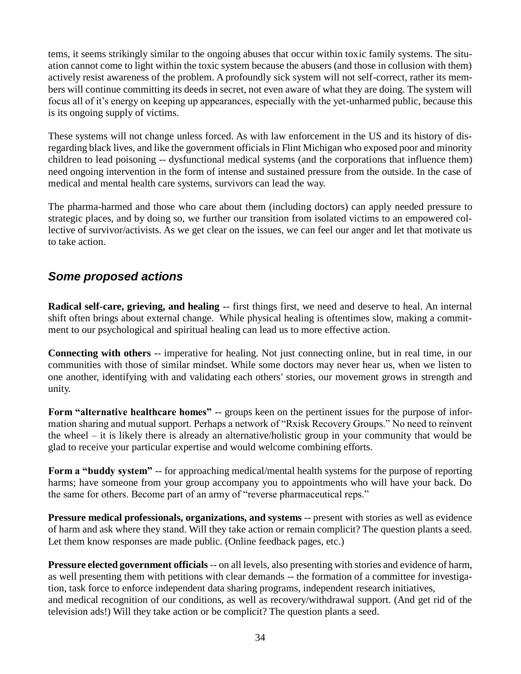tems, it seems strikingly similar to the ongoing abuses that occur within toxic family systems. The situation cannot come to light within the toxic system because the abusers (and those in collusion with them) actively resist awareness of the problem. A profoundly sick system will not self-correct, rather its members will continue committing its deeds in secret, not even aware of what they are doing. The system will focus all of it's energy on keeping up appearances, especially with the yet-unharmed public, because this is its ongoing supply of victims.

These systems will not change unless forced. As with law enforcement in the US and its history of disregarding black lives, and like the government officials in Flint Michigan who exposed poor and minority children to lead poisoning -- dysfunctional medical systems (and the corporations that influence them) need ongoing intervention in the form of intense and sustained pressure from the outside. In the case of medical and mental health care systems, survivors can lead the way.

The pharma-harmed and those who care about them (including doctors) can apply needed pressure to strategic places, and by doing so, we further our transition from isolated victims to an empowered collective of survivor/activists. As we get clear on the issues, we can feel our anger and let that motivate us to take action.

#### *Some proposed actions*

**Radical self-care, grieving, and healing** -- first things first, we need and deserve to heal. An internal shift often brings about external change. While physical healing is oftentimes slow, making a commitment to our psychological and spiritual healing can lead us to more effective action.

**Connecting with others** -- imperative for healing. Not just connecting online, but in real time, in our communities with those of similar mindset. While some doctors may never hear us, when we listen to one another, identifying with and validating each others' stories, our movement grows in strength and unity.

**Form "alternative healthcare homes"** -- groups keen on the pertinent issues for the purpose of information sharing and mutual support. Perhaps a network of "Rxisk Recovery Groups." No need to reinvent the wheel – it is likely there is already an alternative/holistic group in your community that would be glad to receive your particular expertise and would welcome combining efforts.

**Form a "buddy system"** -- for approaching medical/mental health systems for the purpose of reporting harms; have someone from your group accompany you to appointments who will have your back. Do the same for others. Become part of an army of "reverse pharmaceutical reps."

**Pressure medical professionals, organizations, and systems** -- present with stories as well as evidence of harm and ask where they stand. Will they take action or remain complicit? The question plants a seed. Let them know responses are made public. (Online feedback pages, etc.)

**Pressure elected government officials** -- on all levels, also presenting with stories and evidence of harm, as well presenting them with petitions with clear demands -- the formation of a committee for investigation, task force to enforce independent data sharing programs, independent research initiatives, and medical recognition of our conditions, as well as recovery/withdrawal support. (And get rid of the television ads!) Will they take action or be complicit? The question plants a seed.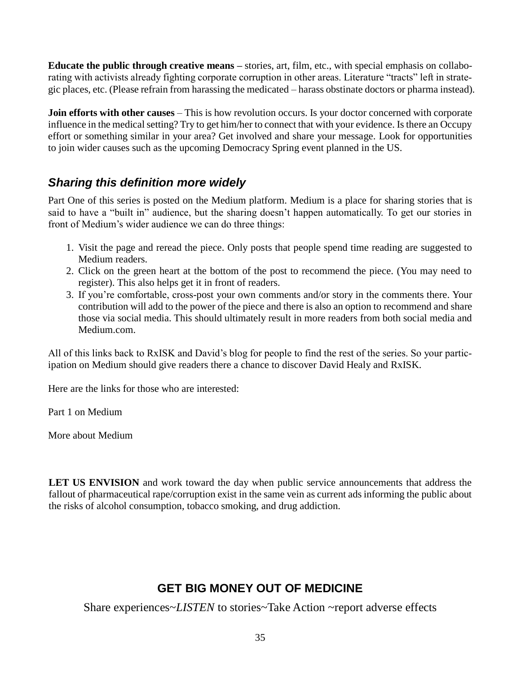**Educate the public through creative means –** stories, art, film, etc., with special emphasis on collaborating with activists already fighting corporate corruption in other areas. Literature "tracts" left in strategic places, etc. (Please refrain from harassing the medicated – harass obstinate doctors or pharma instead).

**Join efforts with other causes** – This is how revolution occurs. Is your doctor concerned with corporate influence in the medical setting? Try to get him/her to connect that with your evidence. Is there an Occupy effort or something similar in your area? Get involved and share your message. Look for opportunities to join wider causes such as the upcoming Democracy Spring event planned in the US.

#### *Sharing this definition more widely*

Part One of this series is posted on the Medium platform. Medium is a place for sharing stories that is said to have a "built in" audience, but the sharing doesn't happen automatically. To get our stories in front of Medium's wider audience we can do three things:

- 1. Visit the page and reread the piece. Only posts that people spend time reading are suggested to Medium readers.
- 2. Click on the green heart at the bottom of the post to recommend the piece. (You may need to register). This also helps get it in front of readers.
- 3. If you're comfortable, cross-post your own comments and/or story in the comments there. Your contribution will add to the power of the piece and there is also an option to recommend and share those via social media. This should ultimately result in more readers from both social media and Medium.com.

All of this links back to RxISK and David's blog for people to find the rest of the series. So your participation on Medium should give readers there a chance to discover David Healy and RxISK.

Here are the links for those who are interested:

[Part 1 on Medium](https://medium.com/@laurieoakley217/rape-is-not-a-metaphor-a-framework-for-understanding-everyday-pharmaceutical-harms-ae83963aac52#.4a8t04tbi)

[More about Medium](https://medium.com/about/about-medium-9eac453da935#.eyhdbua80)

**LET US ENVISION** and work toward the day when public service announcements that address the fallout of pharmaceutical rape/corruption exist in the same vein as current ads informing the public about the risks of alcohol consumption, tobacco smoking, and drug addiction.

## **GET BIG MONEY OUT OF MEDICINE**

Share experiences~*LISTEN* to stories~Take Action ~report adverse effects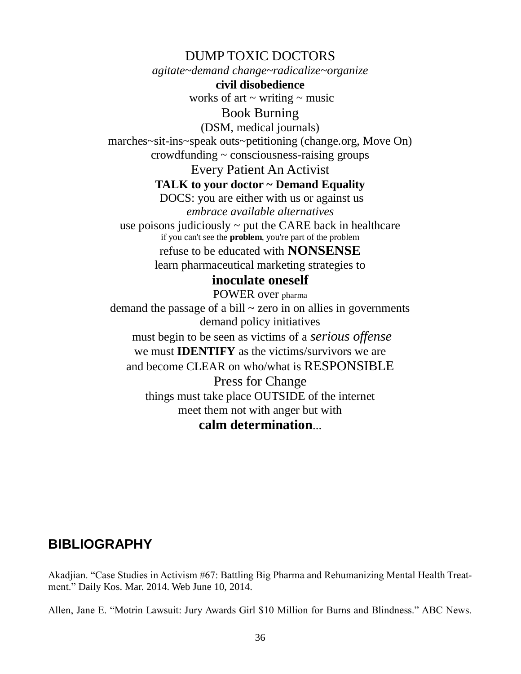DUMP TOXIC DOCTORS

*agitate~demand change~radicalize~organize* **civil disobedience**

works of art  $\sim$  writing  $\sim$  music

Book Burning

(DSM, medical journals) marches~sit-ins~speak outs~petitioning (change.org, Move On) crowdfunding ~ consciousness-raising groups

Every Patient An Activist

**TALK to your doctor ~ Demand Equality**

DOCS: you are either with us or against us *embrace available alternatives* use poisons judiciously  $\sim$  put the CARE back in healthcare if you can't see the **problem**, you're part of the problem

> refuse to be educated with **NONSENSE** learn pharmaceutical marketing strategies to

#### **inoculate oneself**

POWER over pharma demand the passage of a bill  $\sim$  zero in on allies in governments demand policy initiatives must begin to be seen as victims of a *serious offense* we must **IDENTIFY** as the victims/survivors we are and become CLEAR on who/what is RESPONSIBLE Press for Change things must take place OUTSIDE of the internet meet them not with anger but with

#### **calm determination**...

# **BIBLIOGRAPHY**

Akadjian. "Case Studies in Activism #67: Battling Big Pharma and Rehumanizing Mental Health Treatment." Daily Kos. Mar. 2014. Web June 10, 2014.

Allen, Jane E. "Motrin Lawsuit: Jury Awards Girl \$10 Million for Burns and Blindness." ABC News.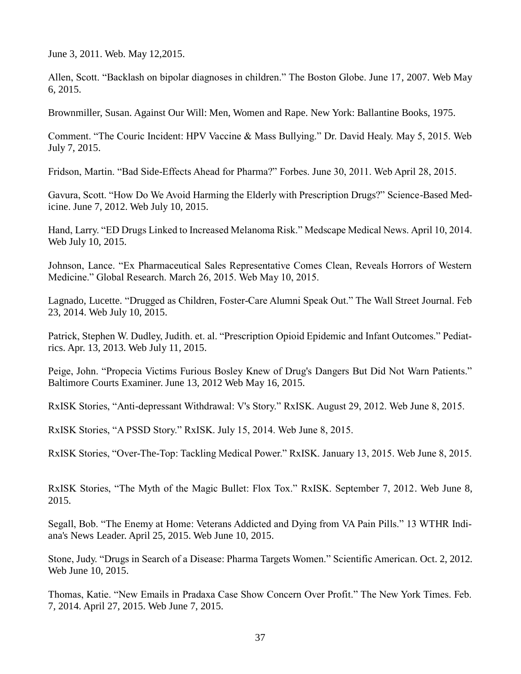June 3, 2011. Web. May 12,2015.

Allen, Scott. "Backlash on bipolar diagnoses in children." The Boston Globe. June 17, 2007. Web May 6, 2015.

Brownmiller, Susan. Against Our Will: Men, Women and Rape. New York: Ballantine Books, 1975.

Comment. "The Couric Incident: HPV Vaccine & Mass Bullying." Dr. David Healy. May 5, 2015. Web July 7, 2015.

Fridson, Martin. "Bad Side-Effects Ahead for Pharma?" Forbes. June 30, 2011. Web April 28, 2015.

Gavura, Scott. "How Do We Avoid Harming the Elderly with Prescription Drugs?" Science-Based Medicine. June 7, 2012. Web July 10, 2015.

Hand, Larry. "ED Drugs Linked to Increased Melanoma Risk." Medscape Medical News. April 10, 2014. Web July 10, 2015.

Johnson, Lance. "Ex Pharmaceutical Sales Representative Comes Clean, Reveals Horrors of Western Medicine." Global Research. March 26, 2015. Web May 10, 2015.

Lagnado, Lucette. "Drugged as Children, Foster-Care Alumni Speak Out." The Wall Street Journal. Feb 23, 2014. Web July 10, 2015.

Patrick, Stephen W. Dudley, Judith. et. al. "Prescription Opioid Epidemic and Infant Outcomes." Pediatrics. Apr. 13, 2013. Web July 11, 2015.

Peige, John. "Propecia Victims Furious Bosley Knew of Drug's Dangers But Did Not Warn Patients." Baltimore Courts Examiner. June 13, 2012 Web May 16, 2015.

RxISK Stories, "Anti-depressant Withdrawal: V's Story." RxISK. August 29, 2012. Web June 8, 2015.

RxISK Stories, "A PSSD Story." RxISK. July 15, 2014. Web June 8, 2015.

RxISK Stories, "Over-The-Top: Tackling Medical Power." RxISK. January 13, 2015. Web June 8, 2015.

RxISK Stories, "The Myth of the Magic Bullet: Flox Tox." RxISK. September 7, 2012. Web June 8, 2015.

Segall, Bob. "The Enemy at Home: Veterans Addicted and Dying from VA Pain Pills." 13 WTHR Indiana's News Leader. April 25, 2015. Web June 10, 2015.

Stone, Judy. "Drugs in Search of a Disease: Pharma Targets Women." Scientific American. Oct. 2, 2012. Web June 10, 2015.

Thomas, Katie. "New Emails in Pradaxa Case Show Concern Over Profit." The New York Times. Feb. 7, 2014. April 27, 2015. Web June 7, 2015.